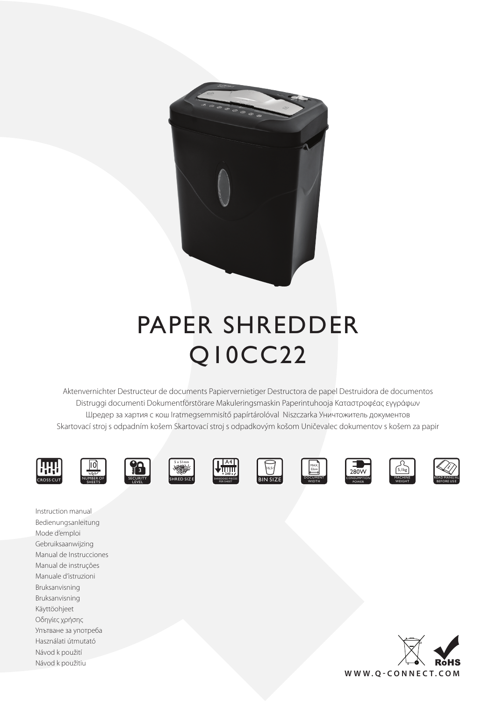

# PAPER SHREDDER Q10CC22

Aktenvernichter Destructeur de documents Papiervernietiger Destructora de papel Destruidora de documentos Distruggi documenti Dokumentförstörare Makuleringsmaskin Paperintuhooja Καταστροφέας εγγράφων Шредер за хартия с кош Iratmegsemmisítő papírtárolóval Niszczarka Уничтожитель документов Skartovací stroj s odpadním košem Skartovací stroj s odpadkovým košom Uničevalec dokumentov s košem za papir



Instruction manual















5,1kg



Bedienungsanleitung Mode d'emploi Gebruiksaanwijzing Manual de Instrucciones Manual de instruções Manuale d'istruzioni Bruksanvisning Bruksanvisning Käyttöohjeet Οδηγίες χρήσης Упътване за употреба Használati útmutató Návod k použití Návod k použitiu

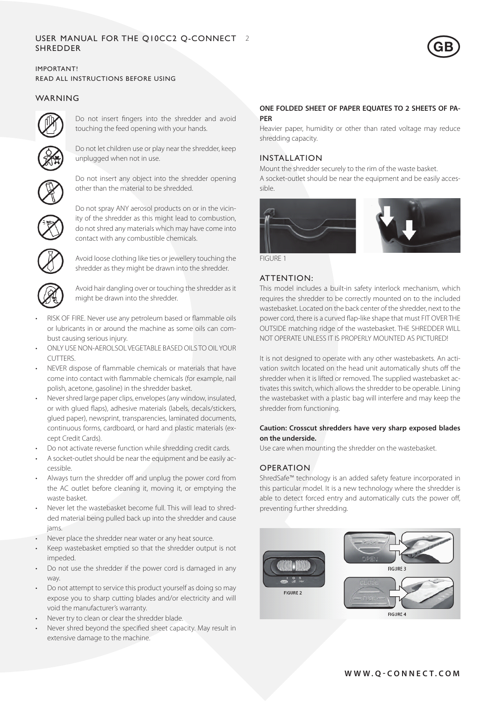## User Manual for the Q10CC2 Q-CONNECT 2 **SHREDDER**



## IMPORTANT! READ ALL INSTRUCTIONS BEFORE USING

# WARNING



Do not insert fingers into the shredder and avoid touching the feed opening with your hands.



Do not let children use or play near the shredder, keep unplugged when not in use.



Do not insert any object into the shredder opening other than the material to be shredded.



Do not spray ANY aerosol products on or in the vicinity of the shredder as this might lead to combustion, do not shred any materials which may have come into contact with any combustible chemicals.



Avoid loose clothing like ties or jewellery touching the shredder as they might be drawn into the shredder.



Avoid hair dangling over or touching the shredder as it might be drawn into the shredder.

- RISK OF FIRE. Never use any petroleum based or flammable oils or lubricants in or around the machine as some oils can combust causing serious injury.
- ONLY USE NON-AFROLSOL VEGETABLE BASED OILS TO OIL YOUR CUTTERS.
- NEVER dispose of flammable chemicals or materials that have come into contact with flammable chemicals (for example, nail polish, acetone, gasoline) in the shredder basket.
- Never shred large paper clips, envelopes (any window, insulated, or with glued flaps), adhesive materials (labels, decals/stickers, glued paper), newsprint, transparencies, laminated documents, continuous forms, cardboard, or hard and plastic materials (except Credit Cards).
- Do not activate reverse function while shredding credit cards.
- A socket-outlet should be near the equipment and be easily accessible.
- Always turn the shredder off and unplug the power cord from the AC outlet before cleaning it, moving it, or emptying the waste basket.
- Never let the wastebasket become full. This will lead to shredded material being pulled back up into the shredder and cause jams.
- • Never place the shredder near water or any heat source.
- Keep wastebasket emptied so that the shredder output is not impeded.
- Do not use the shredder if the power cord is damaged in any way.
- Do not attempt to service this product yourself as doing so may expose you to sharp cutting blades and/or electricity and will void the manufacturer's warranty.
- Never try to clean or clear the shredder blade.
- Never shred beyond the specified sheet capacity. May result in extensive damage to the machine.

## **ONE FOLDED SHEET OF PAPER EQUATES TO 2 SHEETS OF PA-PER**

Heavier paper, humidity or other than rated voltage may reduce shredding capacity.

# INSTALLATION

Mount the shredder securely to the rim of the waste basket. A socket-outlet should be near the equipment and be easily accessible.



FIGURE 1

# ATTENTION:

This model includes a built-in safety interlock mechanism, which requires the shredder to be correctly mounted on to the included wastebasket. Located on the back center of the shredder, next to the power cord, there is a curved flap-like shape that must FIT OVER THE OUTSIDE matching ridge of the wastebasket. THE SHREDDER WILL NOT OPERATE UNLESS IT IS PROPERLY MOUNTED AS PICTURED!

It is not designed to operate with any other wastebaskets. An activation switch located on the head unit automatically shuts off the shredder when it is lifted or removed. The supplied wastebasket activates this switch, which allows the shredder to be operable. Lining the wastebasket with a plastic bag will interfere and may keep the shredder from functioning.

## **Caution: Crosscut shredders have very sharp exposed blades on the underside.**

Use care when mounting the shredder on the wastebasket.

# OPERATION

ShredSafe™ technology is an added safety feature incorporated in this particular model. It is a new technology where the shredder is able to detect forced entry and automatically cuts the power off, preventing further shredding.

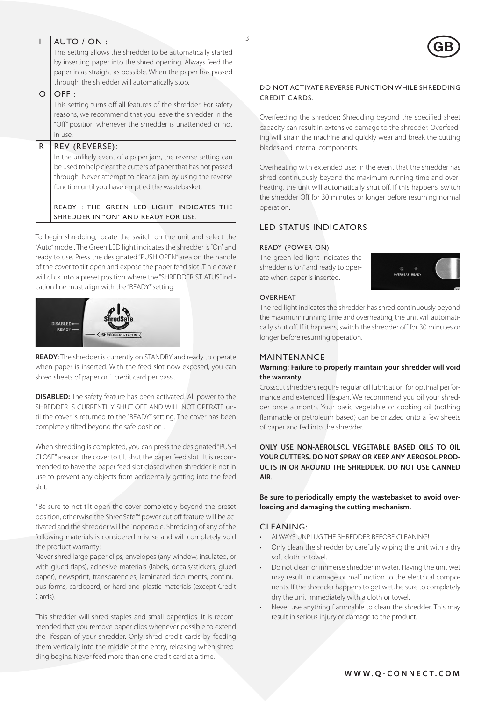|          | AUTO / ON:                                                      |  |  |
|----------|-----------------------------------------------------------------|--|--|
|          | This setting allows the shredder to be automatically started    |  |  |
|          | by inserting paper into the shred opening. Always feed the      |  |  |
|          | paper in as straight as possible. When the paper has passed     |  |  |
|          | through, the shredder will automatically stop.                  |  |  |
| $\Omega$ | OFF:                                                            |  |  |
|          | This setting turns off all features of the shredder. For safety |  |  |
|          | reasons, we recommend that you leave the shredder in the        |  |  |
|          | "Off" position whenever the shredder is unattended or not       |  |  |
|          | in use.                                                         |  |  |
| R        | REV (REVERSE):                                                  |  |  |
|          | In the unlikely event of a paper jam, the reverse setting can   |  |  |
|          | be used to help clear the cutters of paper that has not passed  |  |  |
|          | through. Never attempt to clear a jam by using the reverse      |  |  |
|          | function until you have emptied the wastebasket.                |  |  |
|          |                                                                 |  |  |
|          | READY: THE GREEN LED LIGHT INDICATES THE                        |  |  |
|          | SHREDDER IN "ON" AND READY FOR USE.                             |  |  |
|          |                                                                 |  |  |

To begin shredding, locate the switch on the unit and select the "Auto" mode . The Green LED light indicates the shredder is "On" and ready to use. Press the designated "PUSH OPEN" area on the handle of the cover to tilt open and expose the paper feed slot .T h e cove r will click into a preset position where the "SHREDDER ST ATUS" indication line must align with the "READY" setting.



**READY:** The shredder is currently on STANDBY and ready to operate when paper is inserted. With the feed slot now exposed, you can shred sheets of paper or 1 credit card per pass .

**DISABLED:** The safety feature has been activated. All power to the SHREDDER IS CURRENTLY SHUT OFF AND WILL NOT OPERATE until the cover is returned to the "READY" setting. The cover has been completely tilted beyond the safe position .

When shredding is completed, you can press the designated "PUSH CLOSE" area on the cover to tilt shut the paper feed slot . It is recommended to have the paper feed slot closed when shredder is not in use to prevent any objects from accidentally getting into the feed slot.

\*Be sure to not tilt open the cover completely beyond the preset position, otherwise the ShredSafe™ power cut off feature will be activated and the shredder will be inoperable. Shredding of any of the following materials is considered misuse and will completely void the product warranty:

Never shred large paper clips, envelopes (any window, insulated, or with glued flaps), adhesive materials (labels, decals/stickers, glued paper), newsprint, transparencies, laminated documents, continuous forms, cardboard, or hard and plastic materials (except Credit Cards).

This shredder will shred staples and small paperclips. It is recommended that you remove paper clips whenever possible to extend the lifespan of your shredder. Only shred credit cards by feeding them vertically into the middle of the entry, releasing when shredding begins. Never feed more than one credit card at a time.

## DO NOT ACTIVATE REVERSE FUNCTION WHILE SHREDDING CREDIT CARDS.

Overfeeding the shredder: Shredding beyond the specified sheet capacity can result in extensive damage to the shredder. Overfeeding will strain the machine and quickly wear and break the cutting blades and internal components.

Overheating with extended use: In the event that the shredder has shred continuously beyond the maximum running time and overheating, the unit will automatically shut off. If this happens, switch the shredder Off for 30 minutes or longer before resuming normal operation.

# LED STATUS INDICATORS

## Ready (power on)

The green led light indicates the shredder is "on" and ready to operate when paper is inserted.



#### **OVERHEAT**

The red light indicates the shredder has shred continuously beyond the maximum running time and overheating, the unit will automatically shut off. If it happens, switch the shredder off for 30 minutes or longer before resuming operation.

## MAINTENANCE

## **Warning: Failure to properly maintain your shredder will void the warranty.**

Crosscut shredders require regular oil lubrication for optimal performance and extended lifespan. We recommend you oil your shredder once a month. Your basic vegetable or cooking oil (nothing flammable or petroleum based) can be drizzled onto a few sheets of paper and fed into the shredder.

**ONLY USE NON-AEROLSOL VEGETABLE BASED OILS TO OIL YOUR CUTTERS. DO NOT SPRAY OR KEEP ANY AEROSOL PROD-UCTS IN OR AROUND THE SHREDDER. DO NOT USE CANNED AIR.**

**Be sure to periodically empty the wastebasket to avoid overloading and damaging the cutting mechanism.**

## CLEANING:

- ALWAYS UNPLUG THE SHREDDER BEFORE CLEANING!
- Only clean the shredder by carefully wiping the unit with a dry soft cloth or towel.
- Do not clean or immerse shredder in water. Having the unit wet may result in damage or malfunction to the electrical components. If the shredder happens to get wet, be sure to completely dry the unit immediately with a cloth or towel.
- Never use anything flammable to clean the shredder. This may result in serious injury or damage to the product.

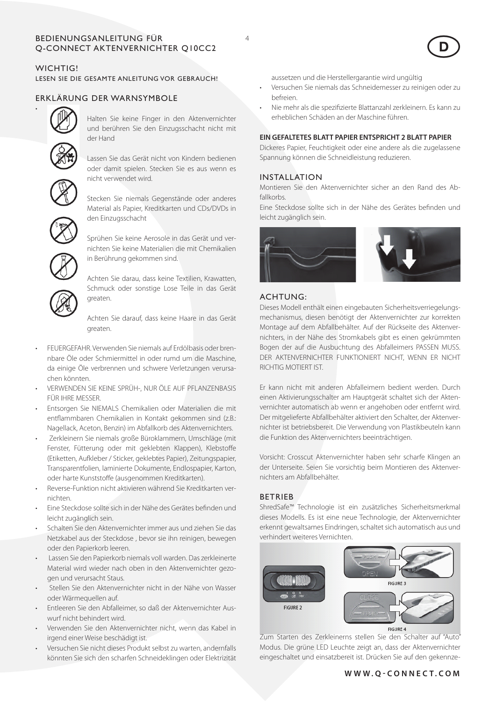## BEDIENUNGSANLEITUNG FÜR 44 Q-CONNECT AKTENVERNICHTER Q10CC2

# WICHTIG!

• 

Lesen Sie die gesamte Anleitung vor Gebrauch!

# Erklärung der Warnsymbole



Halten Sie keine Finger in den Aktenvernichter und berühren Sie den Einzugsschacht nicht mit der Hand

Lassen Sie das Gerät nicht von Kindern bedienen oder damit spielen. Stecken Sie es aus wenn es nicht verwendet wird.



Stecken Sie niemals Gegenstände oder anderes Material als Papier, Kreditkarten und CDs/DVDs in den Einzugsschacht



Sprühen Sie keine Aerosole in das Gerät und vernichten Sie keine Materialien die mit Chemikalien in Berührung gekommen sind.

Achten Sie darau, dass keine Textilien, Krawatten, Schmuck oder sonstige Lose Teile in das Gerät greaten.

Achten Sie darauf, dass keine Haare in das Gerät greaten.

- FEUERGEFAHR. Verwenden Sie niemals auf Erdölbasis oder brennbare Öle oder Schmiermittel in oder rumd um die Maschine, da einige Öle verbrennen und schwere Verletzungen verursachen könnten.
- VERWENDEN SIE KEINE SPRÜH-, NUR ÖLE AUF PFLANZENBASIS FÜR IHRE MESSER.
- Entsorgen Sie NIEMALS Chemikalien oder Materialien die mit entflammbaren Chemikalien in Kontakt gekommen sind (z.B.: Nagellack, Aceton, Benzin) im Abfallkorb des Aktenvernichters.
- Zerkleinern Sie niemals große Büroklammern, Umschläge (mit Fenster, Fütterung oder mit geklebten Klappen), Klebstoffe (Etiketten, Aufkleber / Sticker, geklebtes Papier), Zeitungspapier, Transparentfolien, laminierte Dokumente, Endlospapier, Karton, oder harte Kunststoffe (ausgenommen Kreditkarten).
- Reverse-Funktion nicht aktivieren während Sie Kreditkarten vernichten.
- Eine Steckdose sollte sich in der Nähe des Gerätes befinden und leicht zugänglich sein.
- Schalten Sie den Aktenvernichter immer aus und ziehen Sie das Netzkabel aus der Steckdose , bevor sie ihn reinigen, bewegen oder den Papierkorb leeren.
- • Lassen Sie den Papierkorb niemals voll warden. Das zerkleinerte Material wird wieder nach oben in den Aktenvernichter gezogen und verursacht Staus.
- Stellen Sie den Aktenvernichter nicht in der Nähe von Wasser oder Wärmequellen auf.
- Entleeren Sie den Abfalleimer, so daß der Aktenvernichter Auswurf nicht behindert wird.
- Verwenden Sie den Aktenvernichter nicht, wenn das Kabel in irgend einer Weise beschädigt ist.
- Versuchen Sie nicht dieses Produkt selbst zu warten, andernfalls könnten Sie sich den scharfen Schneideklingen oder Elektrizität

aussetzen und die Herstellergarantie wird ungültig

- Versuchen Sie niemals das Schneidemesser zu reinigen oder zu befreien.
- Nie mehr als die spezifizierte Blattanzahl zerkleinern. Es kann zu erheblichen Schäden an der Maschine führen.

## **EIN GEFALTETES BLATT PAPIER ENTSPRICHT 2 BLATT PAPIER**

Dickeres Papier, Feuchtigkeit oder eine andere als die zugelassene Spannung können die Schneidleistung reduzieren.

## INSTALLATION

Montieren Sie den Aktenvernichter sicher an den Rand des Abfallkorbs.

Eine Steckdose sollte sich in der Nähe des Gerätes befinden und leicht zugänglich sein.



#### ACHTUNG:

Dieses Modell enthält einen eingebauten Sicherheitsverriegelungsmechanismus, diesen benötigt der Aktenvernichter zur korrekten Montage auf dem Abfallbehälter. Auf der Rückseite des Aktenvernichters, in der Nähe des Stromkabels gibt es einen gekrümmten Bogen der auf die Ausbuchtung des Abfalleimers PASSEN MUSS. DER AKTENVERNICHTER FUNKTIONIERT NICHT, WENN ER NICHT RICHTIG MOTIERT IST.

Er kann nicht mit anderen Abfalleimern bedient werden. Durch einen Aktivierungsschalter am Hauptgerät schaltet sich der Aktenvernichter automatisch ab wenn er angehoben oder entfernt wird. Der mitgelieferte Abfallbehälter aktiviert den Schalter, der Aktenvernichter ist betriebsbereit. Die Verwendung von Plastikbeuteln kann die Funktion des Aktenvernichters beeinträchtigen.

Vorsicht: Crosscut Aktenvernichter haben sehr scharfe Klingen an der Unterseite. Seien Sie vorsichtig beim Montieren des Aktenvernichters am Abfallbehälter.

## BETRIEB

ShredSafe™ Technologie ist ein zusätzliches Sicherheitsmerkmal dieses Modells. Es ist eine neue Technologie, der Aktenvernichter erkennt gewaltsames Eindringen, schaltet sich automatisch aus und verhindert weiteres Vernichten.



Zum Starten des Zerkleinerns stellen Sie den Schalter auf "Auto" Modus. Die grüne LED Leuchte zeigt an, dass der Aktenvernichter eingeschaltet und einsatzbereit ist. Drücken Sie auf den gekennze-



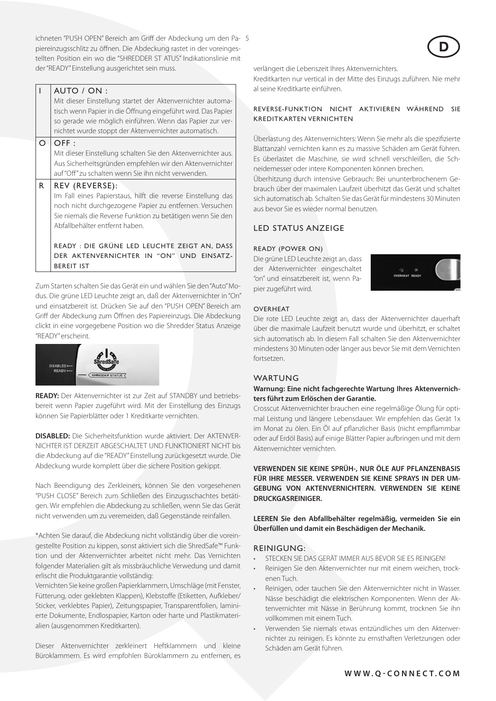ichneten "PUSH OPEN" Bereich am Griff der Abdeckung um den Pa- 5 piereinzugsschlitz zu öffnen. Die Abdeckung rastet in der voreingestellten Position ein wo die "SHREDDER ST ATUS" Indikationslinie mit der "READY" Einstellung ausgerichtet sein muss.

## AUTO / ON :

Mit dieser Einstellung startet der Aktenvernichter automatisch wenn Papier in die Öffnung eingeführt wird. Das Papier so gerade wie möglich einführen. Wenn das Papier zur vernichtet wurde stoppt der Aktenvernichter automatisch.

#### $O$  OFF :

Mit dieser Einstellung schalten Sie den Aktenvernichter aus. Aus Sicherheitsgründen empfehlen wir den Aktenvernichter auf "Off" zu schalten wenn Sie ihn nicht verwenden.

## $R$  REV (REVERSE):

Im Fall eines Papierstaus, hilft die reverse Einstellung das noch nicht durchgezogene Papier zu entfernen. Versuchen Sie niemals die Reverse Funktion zu betätigen wenn Sie den Abfallbehälter entfernt haben.

READY : Die grüne LED Leuchte zeigt an, daSS der Aktenvernichter in "On" und einsatzbereit ist

Zum Starten schalten Sie das Gerät ein und wählen Sie den "Auto" Modus. Die grüne LED Leuchte zeigt an, daß der Aktenvernichter in "On" und einsatzbereit ist. Drücken Sie auf den "PUSH OPEN" Bereich am Griff der Abdeckung zum Öffnen des Papiereinzugs. Die Abdeckung clickt in eine vorgegebene Position wo die Shredder Status Anzeige "READY" erscheint.



**READY:** Der Aktenvernichter ist zur Zeit auf STANDBY und betriebsbereit wenn Papier zugeführt wird. Mit der Einstellung des Einzugs können Sie Papierblätter oder 1 Kreditkarte vernichten.

**DISABLED:** Die Sicherheitsfunktion wurde aktiviert. Der AKTENVER-NICHTER IST DERZEIT ABGESCHALTET UND FUNKTIONIERT NICHT bis die Abdeckung auf die "READY" Einstellung zurückgesetzt wurde. Die Abdeckung wurde komplett über die sichere Position gekippt.

Nach Beendigung des Zerkleiners, können Sie den vorgesehenen "PUSH CLOSE" Bereich zum Schließen des Einzugsschachtes betätigen. Wir empfehlen die Abdeckung zu schließen, wenn Sie das Gerät nicht verwenden um zu veremeiden, daß Gegenstände reinfallen.

\*Achten Sie darauf, die Abdeckung nicht vollständig über die voreingestellte Position zu kippen, sonst aktiviert sich die ShredSafe™ Funktion und der Aktenvernichter arbeitet nicht mehr. Das Vernichten folgender Materialien gilt als missbräuchliche Verwedung und damit erlischt die Produktgarantie vollständig:

Vernichten Sie keine großen Papierklammern, Umschläge (mit Fenster, Fütterung, oder geklebten Klappen), Klebstoffe (Etiketten, Aufkleber/ Sticker, verklebtes Papier), Zeitungspapier, Transparentfolien, laminierte Dokumente, Endlospapier, Karton oder harte und Plastikmaterialien (ausgenommen Kreditkarten).

Dieser Aktenvernichter zerkleinert Heftklammern und kleine Büroklammern. Es wird empfohlen Büroklammern zu entfernen, es verlängert die Lebenszeit Ihres Aktenvernichters.

Kreditkarten nur vertical in der Mitte des Einzugs zuführen. Nie mehr al seine Kreditkarte einführen.

## REVERSE-FUNKTION NICHT AKTIVIEREN WÄHREND SIE KREDITKARTEN VERNICHTEN

Überlastung des Aktenvernichters: Wenn Sie mehr als die spezifizierte Blattanzahl vernichten kann es zu massive Schäden am Gerät führen. Es überlastet die Maschine, sie wird schnell verschleißen, die Schneidemesser oder intere Komponenten können brechen.

Überhitzung durch intensive Gebrauch: Bei ununterbrochenem Gebrauch über der maximalen Laufzeit überhitzt das Gerät und schaltet sich automatisch ab. Schalten Sie das Gerät für mindestens 30 Minuten aus bevor Sie es wieder normal benutzen.

## LED STATUS ANZEIGE

#### Ready (power on)

Die grüne LED Leuchte zeigt an, dass der Aktenvernichter eingeschaltet "on" und einsatzbereit ist, wenn Papier zugeführt wird.



#### **OVERHEAT**

Die rote LED Leuchte zeigt an, dass der Aktenvernichter dauerhaft über die maximale Laufzeit benutzt wurde und überhitzt, er schaltet sich automatisch ab. In diesem Fall schalten Sie den Aktenvernichter mindestens 30 Minuten oder länger aus bevor Sie mit dem Vernichten fortsetzen.

## WARTUNG

## **Warnung: Eine nicht fachgerechte Wartung Ihres Aktenvernichters führt zum Erlöschen der Garantie.**

Crosscut Aktenvernichter brauchen eine regelmäßige Ölung für optimal Leistung und längere Lebensdauer. Wir empfehlen das Gerät 1x im Monat zu ölen. Ein Öl auf pflanzlicher Basis (nicht empflammbar oder auf Erdöl Basis) auf einige Blätter Papier aufbringen und mit dem Aktenvernichter vernichten.

**VERWENDEN SIE KEINE SPRÜH-, NUR ÖLE AUF PFLANZENBASIS FÜR IHRE MESSER. VERWENDEN SIE KEINE SPRAYS IN DER UM-GEBUNG VON AKTENVERNICHTERN. VERWENDEN SIE KEINE DRUCKGASREINIGER.**

**LEEREN Sie den Abfallbehälter regelmäßig, vermeiden Sie ein Überfüllen und damit ein Beschädigen der Mechanik.**

#### REINIGUNG:

- STECKEN SIE DAS GERÄT IMMER AUS BEVOR SIE ES REINIGEN!
- Reinigen Sie den Aktenvernichter nur mit einem weichen, trockenen Tuch.
- Reinigen, oder tauchen Sie den Aktenvernichter nicht in Wasser. Nässe beschädigt die elektrischen Komponenten. Wenn der Aktenvernichter mit Nässe in Berührung kommt, trocknen Sie ihn vollkommen mit einem Tuch.
- Verwenden Sie niemals etwas entzündliches um den Aktenvernichter zu reinigen. Es könnte zu ernsthaften Verletzungen oder Schäden am Gerät führen.

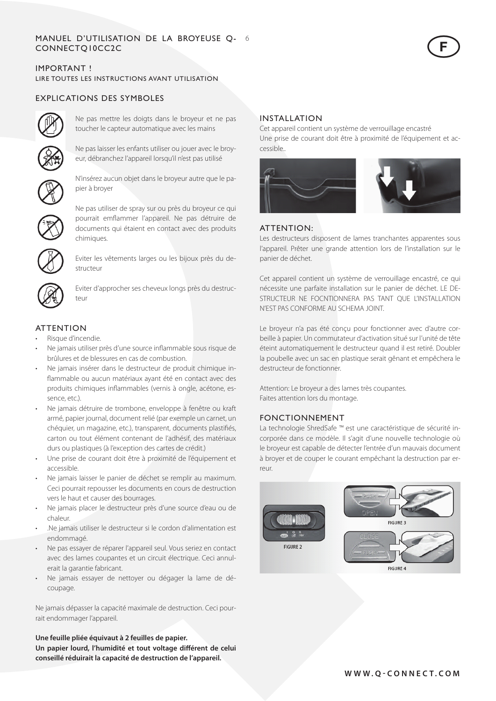#### M anue l 'utilisation de la broyeuse Q- 6 CONN EC T Q10CC2C d

## IMPORTANT ! LIRE TOUTES LES INSTRUCTIONS AVANT UTILISATION

# EXPLICATIONS DES SYMBOLES



Ne pas mettre les doigts dans le broyeur et ne pas toucher le capteur automatique avec les mains



Ne pas laisser les enfants utiliser ou jouer avec le broyeur, débranchez l'appareil lorsqu'il n'est pas utilisé



N'insérez aucun objet dans le broyeur autre que le papier à broyer



Ne pas utiliser de spray sur ou près du broyeur ce qui pourrait emflammer l'appareil. Ne pas détruire de documents qui étaient en contact avec des produits chimiques.



Eviter les vêtements larges ou les bijoux près du destructeur



Eviter d'approcher ses cheveux longs près du destructeur

# **ATTENTION**

- Risque d'incendie.
- Ne jamais utiliser près d'une source inflammable sous risque de brûlures et de blessures en cas de combustion.
- Ne jamais insérer dans le destructeur de produit chimique inflammable ou aucun matériaux ayant été en contact avec des produits chimiques inflammables (vernis à ongle, acétone, essence, etc.).
- Ne jamais détruire de trombone, enveloppe à fenêtre ou kraft armé, papier journal, document relié (par exemple un carnet, un chéquier, un magazine, etc.), transparent, documents plastifiés, carton ou tout élément contenant de l'adhésif, des matériaux durs ou plastiques (à l'exception des cartes de crédit.)
- Une prise de courant doit être à proximité de l'équipement et accessible.
- Ne jamais laisser le panier de déchet se remplir au maximum. Ceci pourrait repousser les documents en cours de destruction vers le haut et causer des bourrages.
- • Ne jamais placer le destructeur près d'une source d'eau ou de chaleur.
- .Ne jamais utiliser le destructeur si le cordon d'alimentation est endommagé.
- • Ne pas essayer de réparer l'appareil seul. Vous seriez en contact avec des lames coupantes et un circuit électrique. Ceci annulerait la garantie fabricant.
- Ne jamais essayer de nettoyer ou dégager la lame de découpage.

Ne jamais dépasser la capacité maximale de destruction. Ceci pourrait endommager l'appareil.

#### **Une feuille pliée équivaut à 2 feuilles de papier.**

**Un papier lourd, l'humidité et tout voltage différent de celui conseillé réduirait la capacité de destruction de l'appareil.**

## INSTALLATION

Cet appareil contient un système de verrouillage encastré Une prise de courant doit être à proximité de l'équipement et accessible..

 $\bigodot$ 



# ATTENTION:

Les destructeurs disposent de lames tranchantes apparentes sous l'appareil. Prêter une grande attention lors de l'installation sur le panier de déchet.

Cet appareil contient un système de verrouillage encastré, ce qui nécessite une parfaite installation sur le panier de déchet. LE DE-STRUCTEUR NE FOCNTIONNERA PAS TANT OUE L'INSTALLATION N'EST PAS CONFORME AU SCHEMA JOINT.

Le broyeur n'a pas été conçu pour fonctionner avec d'autre corbeille à papier. Un commutateur d'activation situé sur l'unité de tête éteint automatiquement le destructeur quand il est retiré. Doubler la poubelle avec un sac en plastique serait gênant et empêchera le destructeur de fonctionner.

Attention: Le broyeur a des lames très coupantes. Faites attention lors du montage.

## FONCTIONNEMENT

La technologie ShredSafe ™ est une caractéristique de sécurité incorporée dans ce modèle. Il s'agit d'une nouvelle technologie où le broyeur est capable de détecter l'entrée d'un mauvais document à broyer et de couper le courant empêchant la destruction par erreur.

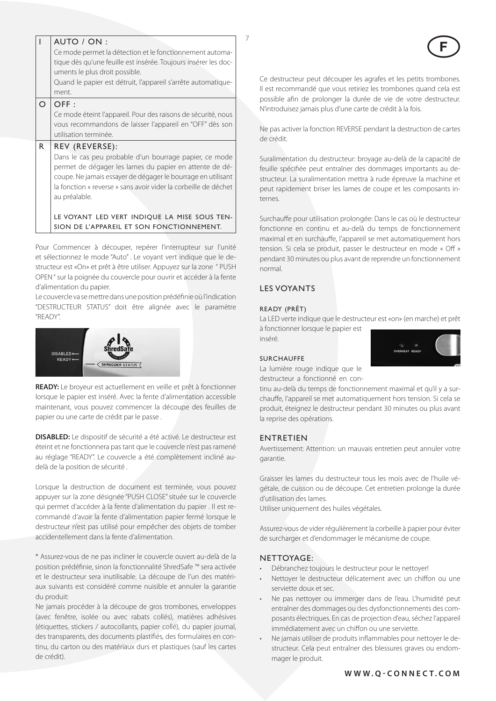|          | AUTO / ON:<br>Ce mode permet la détection et le fonctionnement automa-                                                                                                                                                                                                |  |
|----------|-----------------------------------------------------------------------------------------------------------------------------------------------------------------------------------------------------------------------------------------------------------------------|--|
|          | tique dès qu'une feuille est insérée. Toujours insérer les doc-<br>uments le plus droit possible.                                                                                                                                                                     |  |
|          | Quand le papier est détruit, l'appareil s'arrête automatique-<br>ment.                                                                                                                                                                                                |  |
| $\Omega$ | OFF:                                                                                                                                                                                                                                                                  |  |
|          | Ce mode éteint l'appareil. Pour des raisons de sécurité, nous<br>vous recommandons de laisser l'appareil en "OFF" dès son<br>utilisation terminée.                                                                                                                    |  |
| R        | REV (REVERSE):                                                                                                                                                                                                                                                        |  |
|          | Dans le cas peu probable d'un bourrage papier, ce mode<br>permet de dégager les lames du papier en attente de dé-<br>coupe. Ne jamais essayer de dégager le bourrage en utilisant<br>la fonction « reverse » sans avoir vider la corbeille de déchet<br>au préalable. |  |
|          | LE VOYANT LED VERT INDIQUE LA MISE SOUS TEN-<br>SION DE L'APPAREIL ET SON FONCTIONNEMENT.                                                                                                                                                                             |  |

Pour Commencer à découper, repérer l'interrupteur sur l'unité et sélectionnez le mode "Auto" . Le voyant vert indique que le destructeur est «On» et prêt à être utiliser. Appuyez sur la zone " PUSH OPEN " sur la poignée du couvercle pour ouvrir et accéder à la fente d'alimentation du papier.

Le couvercle va se mettre dans une position prédéfinie où l'indication "DESTRUCTEUR STATUS" doit être alignée avec le paramètre "READY".



**READY:** Le broyeur est actuellement en veille et prêt à fonctionner lorsque le papier est inséré. Avec la fente d'alimentation accessible maintenant, vous pouvez commencer la découpe des feuilles de papier ou une carte de crédit par le passe .

**DISABLED:** Le dispositif de sécurité a été activé. Le destructeur est éteint et ne fonctionnera pas tant que le couvercle n'est pas ramené au réglage "READY". Le couvercle a été complètement incliné audelà de la position de sécurité .

Lorsque la destruction de document est terminée, vous pouvez appuyer sur la zone désignée "PUSH CLOSE" située sur le couvercle qui permet d'accéder à la fente d'alimentation du papier . Il est recommandé d'avoir la fente d'alimentation papier fermé lorsque le destructeur n'est pas utilisé pour empêcher des objets de tomber accidentellement dans la fente d'alimentation.

\* Assurez-vous de ne pas incliner le couvercle ouvert au-delà de la position prédéfinie, sinon la fonctionnalité ShredSafe ™ sera activée et le destructeur sera inutilisable. La découpe de l'un des matériaux suivants est considéré comme nuisible et annuler la garantie du produit:

Ne jamais procéder à la découpe de gros trombones, enveloppes (avec fenêtre, isolée ou avec rabats collés), matières adhésives (étiquettes, stickers / autocollants, papier collé), du papier journal, des transparents, des documents plastifiés, des formulaires en continu, du carton ou des matériaux durs et plastiques (sauf les cartes de crédit).

Ce destructeur peut découper les agrafes et les petits trombones. Il est recommandé que vous retiriez les trombones quand cela est possible afin de prolonger la durée de vie de votre destructeur. N'introduisez jamais plus d'une carte de crédit à la fois.

Ne pas activer la fonction REVERSE pendant la destruction de cartes de crédit.

Suralimentation du destructeur: broyage au-delà de la capacité de feuille spécifiée peut entraîner des dommages importants au destructeur. La suralimentation mettra à rude épreuve la machine et peut rapidement briser les lames de coupe et les composants internes.

Surchauffe pour utilisation prolongée: Dans le cas où le destructeur fonctionne en continu et au-delà du temps de fonctionnement maximal et en surchauffe, l'appareil se met automatiquement hors tension. Si cela se produit, passer le destructeur en mode « Off » pendant 30 minutes ou plus avant de reprendre un fonctionnement normal.

# Les voyants

#### Ready (Prêt)

La LED verte indique que le destructeur est «on» (en marche) et prêt à fonctionner lorsque le papier est

inséré.

#### **SURCHAUFFE**

La lumière rouge indique que le destructeur a fonctionné en con-

tinu au-delà du temps de fonctionnement maximal et qu'il y a sur-

chauffe, l'appareil se met automatiquement hors tension. Si cela se produit, éteignez le destructeur pendant 30 minutes ou plus avant la reprise des opérations.

#### ENTRETIEN

Avertissement: Attention: un mauvais entretien peut annuler votre garantie.

Graisser les lames du destructeur tous les mois avec de l'huile végétale, de cuisson ou de découpe. Cet entretien prolonge la durée d'utilisation des lames.

Utiliser uniquement des huiles végétales.

Assurez-vous de vider régulièrement la corbeille à papier pour éviter de surcharger et d'endommager le mécanisme de coupe.

#### NETTOYAGE:

- Débranchez toujours le destructeur pour le nettoyer!
- Nettoyer le destructeur délicatement avec un chiffon ou une serviette doux et sec.
- Ne pas nettoyer ou immerger dans de l'eau. L'humidité peut entraîner des dommages ou des dysfonctionnements des composants électriques. En cas de projection d'eau, séchez l'appareil immédiatement avec un chiffon ou une serviette.
- • Ne jamais utiliser de produits inflammables pour nettoyer le destructeur. Cela peut entraîner des blessures graves ou endommager le produit.

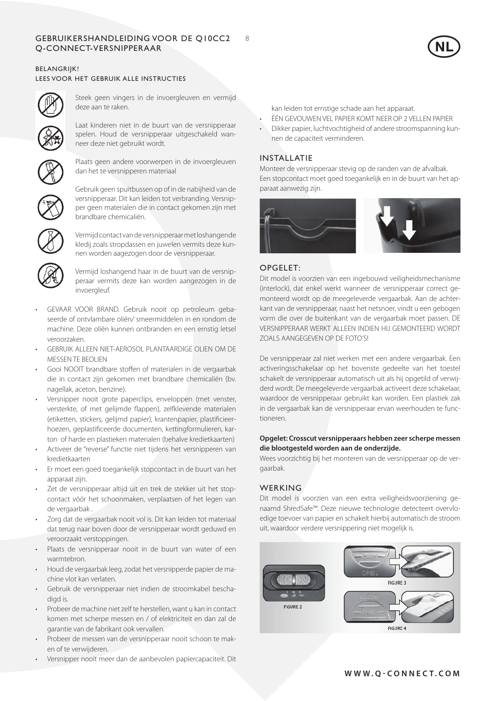## GEBRUIKERSHANDLEIDING VOOR DE Q10CC2 8 Q-CONNECT-versnipperaar



## BELANGRIJK! LEES VOOR HET GEBRUIK ALLE INSTRUCTIES



Steek geen vingers in de invoergleuven en vermijd deze aan te raken.

Laat kinderen niet in de buurt van de versnipperaar spelen. Houd de versnipperaar uitgeschakeld wanneer deze niet gebruikt wordt.



Plaats geen andere voorwerpen in de invoergleuven dan het te versnipperen materiaal



Gebruik geen spuitbussen op of in de nabijheid van de versnipperaar. Dit kan leiden tot verbranding. Versnipper geen materialen die in contact gekomen zijn met brandbare chemicaliën.



Vermijd contact van de versnipperaar met loshangende kledij zoals stropdassen en juwelen vermits deze kunnen worden aagezogen door de versnipperaar.

Vermijd loshangend haar in de buurt van de versnipperaar vermits deze kan worden aangezogen in de invoergleuf.

- GEVAAR VOOR BRAND. Gebruik nooit op petroleum gebaseerde of ontvlambare oliën/ smeermiddelen in en rondom de machine. Deze oliën kunnen ontbranden en een ernstig letsel veroorzaken.
- GEBRUIK ALLEEN NIET-AFROSOL PLANTAARDIGE OLIEN OM DE MESSEN TE BEOLIEN
- Gooi NOOIT brandbare stoffen of materialen in de vergaarbak die in contact zijn gekomen met brandbare chemicaliën (bv. nagellak, aceton, benzine).
- Versnipper nooit grote paperclips, enveloppen (met venster, versterkte, of met gelijmde flappen), zelfklevende materialen (etiketten, stickers, gelijmd papier), krantenpapier, plastificieerhoezen, geplastificeerde documenten, kettingformulieren, karton of harde en plastieken materialen (behalve kredietkaarten)
- Activeer de "reverse" functie niet tijdens het versnipperen van kredietkaarten
- Er moet een goed toegankelijk stopcontact in de buurt van het apparaat zijn.
- Zet de versnipperaar altijd uit en trek de stekker uit het stopcontact vóór het schoonmaken, verplaatsen of het legen van de vergaarbak .
- Zorg dat de vergaarbak nooit vol is. Dit kan leiden tot materiaal dat terug naar boven door de versnipperaar wordt geduwd en veroorzaakt verstoppingen.
- Plaats de versnipperaar nooit in de buurt van water of een warmtebron.
- Houd de vergaarbak leeg, zodat het versnipperde papier de machine vlot kan verlaten.
- Gebruik de versnipperaar niet indien de stroomkabel beschadigd is.
- Probeer de machine niet zelf te herstellen, want u kan in contact komen met scherpe messen en / of elektriciteit en dan zal de garantie van de fabrikant ook vervallen.
- Probeer de messen van de versnipperaar nooit schoon te maken of te verwijderen.
- Versnipper nooit meer dan de aanbevolen papiercapaciteit. Dit

kan leiden tot ernstige schade aan het apparaat.

- ÉÉN GEVOUWEN VEL PAPIER KOMT NEER OP 2 VELLEN PAPIER
- Dikker papier, luchtvochtigheid of andere stroomspanning kunnen de capaciteit verminderen.

# INSTALLATIE

Monteer de versnipperaar stevig op de randen van de afvalbak. Een stopcontact moet goed toegankelijk en in de buurt van het apparaat aanwezig zijn.



## OPGELET:

Dit model is voorzien van een ingebouwd veiligheidsmechanisme (interlock), dat enkel werkt wanneer de versnipperaar correct gemonteerd wordt op de meegeleverde vergaarbak. Aan de achterkant van de versnipperaar, naast het netsnoer, vindt u een gebogen vorm die over de buitenkant van de vergaarbak moet passen. DE VERSNIPPERAAR WERKT ALLEEN INDIEN HIJ GEMONTEERD WORDT ZOALS AANGEGEVEN OP DE FOTO'S!

De versnipperaar zal niet werken met een andere vergaarbak. Een activeringsschakelaar op het bovenste gedeelte van het toestel schakelt de versnipperaar automatisch uit als hij opgetild of verwijderd wordt. De meegeleverde vergaarbak activeert deze schakelaar, waardoor de versnipperaar gebruikt kan worden. Een plastiek zak in de vergaarbak kan de versnipperaar ervan weerhouden te functioneren.

## **Opgelet: Crosscut versnipperaars hebben zeer scherpe messen die blootgesteld worden aan de onderzijde.**

Wees voorzichtig bij het monteren van de versnipperaar op de vergaarbak.

# WERKING

Dit model is voorzien van een extra veiligheidsvoorziening genaamd ShredSafe™. Deze nieuwe technologie detecteert overvloedige toevoer van papier en schakelt hierbij automatisch de stroom uit, waardoor verdere versnippering niet mogelijk is.

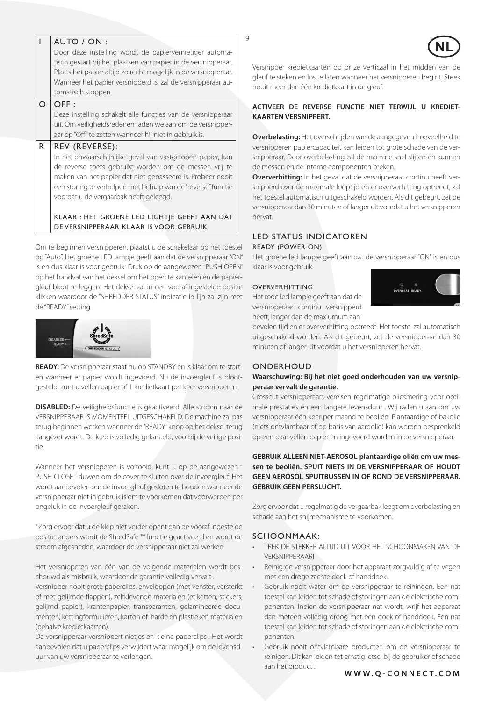|   | AUTO / ON:                                                                                                                |  |
|---|---------------------------------------------------------------------------------------------------------------------------|--|
|   | Door deze instelling wordt de papiervernietiger automa-<br>tisch gestart bij het plaatsen van papier in de versnipperaar. |  |
|   | Plaats het papier altijd zo recht mogelijk in de versnipperaar.                                                           |  |
|   | Wanneer het papier versnipperd is, zal de versnipperaar au-                                                               |  |
|   | tomatisch stoppen.                                                                                                        |  |
| ∩ | OFF:                                                                                                                      |  |
|   | Deze instelling schakelt alle functies van de versnipperaar                                                               |  |
|   | uit. Om veiligheidsredenen raden we aan om de versnipper-                                                                 |  |
|   | aar op "Off" te zetten wanneer hij niet in gebruik is.                                                                    |  |
| R | REV (REVERSE):                                                                                                            |  |
|   | In het onwaarschijnlijke geval van vastgelopen papier, kan                                                                |  |
|   | de reverse toets gebruikt worden om de messen vrij te                                                                     |  |
|   | maken van het papier dat niet gepasseerd is. Probeer nooit                                                                |  |
|   | een storing te verhelpen met behulp van de "reverse" functie                                                              |  |
|   | voordat u de vergaarbak heeft geleegd.                                                                                    |  |
|   |                                                                                                                           |  |
|   | KLAAR: HET GROENE LED LICHTJE GEEFT AAN DAT                                                                               |  |
|   | DE VERSNIPPERAAR KLAAR IS VOOR GEBRUIK.                                                                                   |  |

Om te beginnen versnipperen, plaatst u de schakelaar op het toestel op "Auto". Het groene LED lampje geeft aan dat de versnipperaar "ON" is en dus klaar is voor gebruik. Druk op de aangewezen "PUSH OPEN" op het handvat van het deksel om het open te kantelen en de papiergleuf bloot te leggen. Het deksel zal in een vooraf ingestelde positie klikken waardoor de "SHREDDER STATUS" indicatie in lijn zal zijn met de "READY" setting.



**READY:** De versnipperaar staat nu op STANDBY en is klaar om te starten wanneer er papier wordt ingevoerd. Nu de invoergleuf is blootgesteld, kunt u vellen papier of 1 kredietkaart per keer versnipperen.

**DISABLED:** De veiligheidsfunctie is geactiveerd. Alle stroom naar de VERSNIPPERAAR IS MOMENTEEL UITGESCHAKELD. De machine zal pas terug beginnen werken wanneer de "READY" knop op het deksel terug aangezet wordt. De klep is volledig gekanteld, voorbij de veilige positie.

Wanneer het versnipperen is voltooid, kunt u op de aangewezen " PUSH CLOSE " duwen om de cover te sluiten over de invoergleuf. Het wordt aanbevolen om de invoergleuf gesloten te houden wanneer de versnipperaar niet in gebruik is om te voorkomen dat voorwerpen per ongeluk in de invoergleuf geraken.

\*Zorg ervoor dat u de klep niet verder opent dan de vooraf ingestelde positie, anders wordt de ShredSafe ™ functie geactiveerd en wordt de stroom afgesneden, waardoor de versnipperaar niet zal werken.

Het versnipperen van één van de volgende materialen wordt beschouwd als misbruik, waardoor de garantie volledig vervalt :

Versnipper nooit grote paperclips, enveloppen (met venster, versterkt of met gelijmde flappen), zelfklevende materialen (etiketten, stickers, gelijmd papier), krantenpapier, transparanten, gelamineerde documenten, kettingformulieren, karton of harde en plastieken materialen (behalve kredietkaarten).

De versnipperaar versnippert nietjes en kleine paperclips . Het wordt aanbevolen dat u paperclips verwijdert waar mogelijk om de levensduur van uw versnipperaar te verlengen.

Versnipper kredietkaarten do or ze verticaal in het midden van de gleuf te steken en los te laten wanneer het versnipperen begint. Steek nooit meer dan één kredietkaart in de gleuf.  $\bigodot$ 

## **ACTIVEER DE REVERSE FUNCTIE NIET TERWIJL U KREDIET-KAARTEN VERSNIPPERT.**

**Overbelasting:** Het overschrijden van de aangegeven hoeveelheid te versnipperen papiercapaciteit kan leiden tot grote schade van de versnipperaar. Door overbelasting zal de machine snel slijten en kunnen de messen en de interne componenten breken.

**Oververhitting:** In het geval dat de versnipperaar continu heeft versnipperd over de maximale looptijd en er oververhitting optreedt, zal het toestel automatisch uitgeschakeld worden. Als dit gebeurt, zet de versnipperaar dan 30 minuten of langer uit voordat u het versnipperen hervat.

## LED STATUS INDICATOREN Ready (power on)

Het groene led lampje geeft aan dat de versnipperaar "ON" is en dus klaar is voor gebruik.

## **OVERVERHITTING**

Het rode led lampje geeft aan dat de versnipperaar continu versnipperd heeft, langer dan de maxiumum aan-



bevolen tijd en er oververhitting optreedt. Het toestel zal automatisch uitgeschakeld worden. Als dit gebeurt, zet de versnipperaar dan 30 minuten of langer uit voordat u het versnipperen hervat.

## **ONDERHOUD**

## **Waarschuwing: Bij het niet goed onderhouden van uw versnipperaar vervalt de garantie.**

Crosscut versnipperaars vereisen regelmatige oliesmering voor optimale prestaties en een langere levensduur . Wij raden u aan om uw versnipperaar één keer per maand te beoliën. Plantaardige of bakolie (niets ontvlambaar of op basis van aardolie) kan worden besprenkeld op een paar vellen papier en ingevoerd worden in de versnipperaar.

## **GEBRUIK ALLEEN NIET-AEROSOL plantaardige oliën om uw messen te beoliën. SPUIT NIETS IN DE VERSNIPPERAAR OF HOUDT GEEN AEROSOL SPUITBUSSEN IN OF ROND DE VERSNIPPERAAR. GEBRUIK GEEN PERSLUCHT.**

Zorg ervoor dat u regelmatig de vergaarbak leegt om overbelasting en schade aan het snijmechanisme te voorkomen.

## SCHOONMAAK:

- • TREK DE STEKKER ALTIJD UIT VÓÓR HET SCHOONMAKEN VAN DE VERSNIPPERAAR!
- Reinig de versnipperaar door het apparaat zorgvuldig af te vegen met een droge zachte doek of handdoek.
- Gebruik nooit water om de versnipperaar te reiningen. Een nat toestel kan leiden tot schade of storingen aan de elektrische componenten. Indien de versnipperaar nat wordt, wrijf het apparaat dan meteen volledig droog met een doek of handdoek. Een nat toestel kan leiden tot schade of storingen aan de elektrische componenten.
- Gebruik nooit ontvlambare producten om de versnipperaar te reinigen. Dit kan leiden tot ernstig letsel bij de gebruiker of schade aan het product .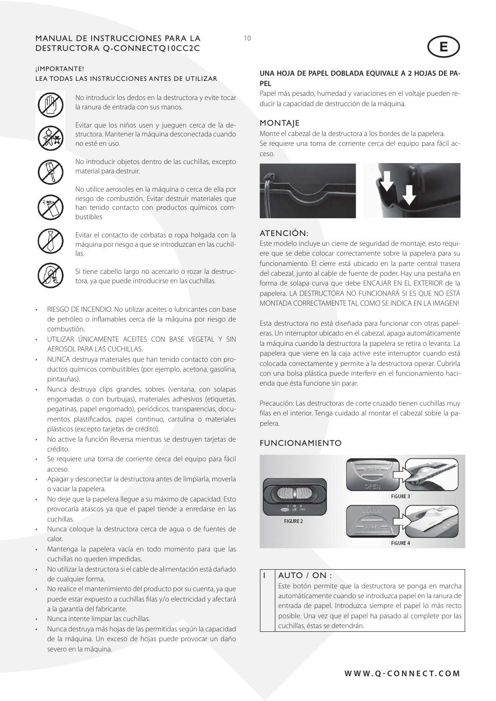## Manual de instrucciones para la 10 Destructora Q-CONNECTQ10CC2C

¡IMPORTANTE!

## LEA TODAS LAS INSTRUCCIONES ANTES DE UTILIZAR



No introducir los dedos en la destructora y evite tocar la ranura de entrada con sus manos.



Evitar que los niños usen y jueguen cerca de la destructora. Mantener la máquina desconectada cuando no esté en uso.



No introducir objetos dentro de las cuchillas, excepto material para destruir.



No utilice aerosoles en la máquina o cerca de ella por riesgo de combustión. Evitar destruir materiales que han tenido contacto con productos químicos combustibles



Evitar el contacto de corbatas o ropa holgada con la máquina por riesgo a que se introduzcan en las cuchillas.



Si tiene cabello largo no acercarlo o rozar la destructora, ya que puede introducirse en las cuchillas.

- RIESGO DE INCENDIO. No utilizar aceites o lubricantes con base de petróleo o inflamables cerca de la máquina por riesgo de combustión.
- UTILIZAR ÚNICAMENTE ACEITES CON BASE VEGETAL Y SIN AEROSOL PARA LAS CUCHILLAS.
- NUNCA destruya materiales que han tenido contacto con productos químicos combustibles (por ejemplo, acetona, gasolina, pintauñas).
- Nunca destruya clips grandes, sobres (ventana, con solapas engomadas o con burbujas), materiales adhesivos (etiquetas, pegatinas, papel engomado), periódicos, transparencias, documentos plastificados, papel continuo, cartulina o materiales plásticos (excepto tarjetas de crédito).
- No active la función Reversa mientras se destruyen tarjetas de crédito.
- Se requiere una toma de corriente cerca del equipo para fácil acceso.
- Apagar y desconectar la destructora antes de limpiarla, moverla o vaciar la papelera.
- No deje que la papelera llegue a su máximo de capacidad. Esto provocaría atascos ya que el papel tiende a enredarse en las cuchillas.
- • Nunca coloque la destructora cerca de agua o de fuentes de calor.
- Mantenga la papelera vacía en todo momento para que las cuchillas no queden impedidas.
- No utilizar la destructora si el cable de alimentación está dañado de cualquier forma.
- No realice el mantenimiento del producto por su cuenta, ya que puede estar expuesto a cuchillas filas y/o electricidad y afectará a la garantía del fabricante.
- Nunca intente limpiar las cuchillas.
- Nunca destruya más hojas de las permitidas según la capacidad de la máquina. Un exceso de hojas puede provocar un daño severo en la máquina.

## **UNA HOJA DE PAPEL DOBLADA EQUIVALE A 2 HOJAS DE PA-PEL**

 $\bigodot$ 

Papel más pesado, humedad y variaciones en el voltaje pueden reducir la capacidad de destrucción de la máquina.

## **MONTAIE**

Monte el cabezal de la destructora a los bordes de la papelera. Se requiere una toma de corriente cerca del equipo para fácil acceso.



# ATENCIÓN:

Este modelo incluye un cierre de seguridad de montaje, esto requiere que se debe colocar correctamente sobre la papelera para su funcionamiento. El cierre está ubicado en la parte central trasera del cabezal, junto al cable de fuente de poder. Hay una pestaña en forma de solapa curva que debe ENCAJAR EN EL EXTERIOR de la papelera. LA DESTRUCTORA NO FUNCIONARÁ SI ES QUE NO ESTÁ MONTADA CORRECTAMENTE TAL COMO SE INDICA EN LA IMAGEN!

Esta destructora no está diseñada para funcionar con otras papeleras. Un interruptor ubicado en el cabezal, apaga automáticamente la máquina cuando la destructora la papelera se retira o levanta. La papelera que viene en la caja active este interruptor cuando está colocada correctamente y permite a la destructora operar. Cubrirla con una bolsa plástica puede interferir en el funcionamiento hacienda que ésta funcione sin parar.

Precaución: Las destructoras de corte cruzado tienen cuchillas muy filas en el interior. Tenga cuidado al montar el cabezal sobre la papelera.

# FUNCIONAMIENTO



# I AUTO / ON :

Este botón permite que la destructora se ponga en marcha automáticamente cuando se introduzca papel en la ranura de entrada de papel. Introduzca siempre el papel lo más recto posible. Una vez que el papel ha pasado al complete por las cuchillas, éstas se detendrán.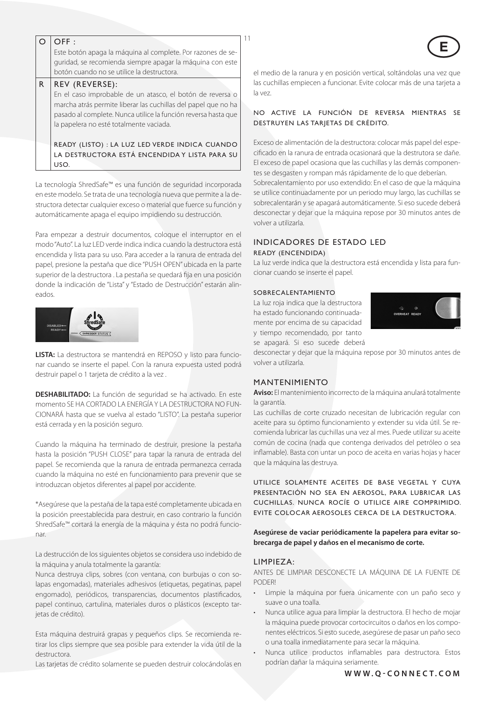| $\Omega$     | OFF:                                                                                                                                                                        |                                                                                                                                                                                                                       |
|--------------|-----------------------------------------------------------------------------------------------------------------------------------------------------------------------------|-----------------------------------------------------------------------------------------------------------------------------------------------------------------------------------------------------------------------|
|              | Este botón apaga la máquina al complete. Por razones de se-                                                                                                                 |                                                                                                                                                                                                                       |
|              | guridad, se recomienda siempre apagar la máquina con este                                                                                                                   |                                                                                                                                                                                                                       |
|              | botón cuando no se utilice la destructora.                                                                                                                                  | el medio de la ranura y en posición vertical, soltándolas una vez que                                                                                                                                                 |
| $\mathsf{R}$ | REV (REVERSE):                                                                                                                                                              | las cuchillas empiecen a funcionar. Evite colocar más de una tarjeta a                                                                                                                                                |
|              | En el caso improbable de un atasco, el botón de reversa o                                                                                                                   | la vez.                                                                                                                                                                                                               |
|              | marcha atrás permite liberar las cuchillas del papel que no ha<br>pasado al complete. Nunca utilice la función reversa hasta que<br>la papelera no esté totalmente vaciada. | NO ACTIVE LA FUNCIÓN DE REVERSA MIENTRAS SE<br>DESTRUYEN LAS TARIETAS DE CRÉDITO.                                                                                                                                     |
|              | READY (LISTO) : LA LUZ LED VERDE INDICA CUANDO<br>LA DESTRUCTORA ESTÁ ENCENDIDA Y LISTA PARA SU<br>USO.                                                                     | Exceso de alimentación de la destructora: colocar más papel del espe-<br>cificado en la ranura de entrada ocasionará que la destrutora se dañe<br>El exceso de papel ocasiona que las cuchillas y las demás componen- |
|              |                                                                                                                                                                             | tes se desgasten y rompan más rápidamente de lo que deberían                                                                                                                                                          |

La tecnología ShredSafe™ es una función de seguridad incorporada en este modelo. Se trata de una tecnología nueva que permite a la destructora detectar cualquier exceso o material que fuerce su función y automáticamente apaga el equipo impidiendo su destrucción.

Para empezar a destruir documentos, coloque el interruptor en el modo "Auto". La luz LED verde indica indica cuando la destructora está encendida y lista para su uso. Para acceder a la ranura de entrada del papel, presione la pestaña que dice "PUSH OPEN" ubicada en la parte superior de la destructora . La pestaña se quedará fija en una posición donde la indicación de "Lista" y "Estado de Destrucción" estarán alineados.



**LISTA:** La destructora se mantendrá en REPOSO y listo para funcionar cuando se inserte el papel. Con la ranura expuesta usted podrá destruir papel o 1 tarjeta de crédito a la vez .

**DESHABILITADO:** La función de seguridad se ha activado. En este momento SE HA CORTADO LA ENERGÍA Y LA DESTRUCTORA NO FUN-CIONARÁ hasta que se vuelva al estado "LISTO". La pestaña superior está cerrada y en la posición seguro.

Cuando la máquina ha terminado de destruir, presione la pestaña hasta la posición "PUSH CLOSE" para tapar la ranura de entrada del papel. Se recomienda que la ranura de entrada permanezca cerrada cuando la máquina no esté en funcionamiento para prevenir que se introduzcan objetos diferentes al papel por accidente.

\*Asegúrese que la pestaña de la tapa esté completamente ubicada en la posición preestablecida para destruir, en caso contrario la función ShredSafe™ cortará la energía de la máquina y ésta no podrá funcionar.

La destrucción de los siguientes objetos se considera uso indebido de la máquina y anula totalmente la garantía:

Nunca destruya clips, sobres (con ventana, con burbujas o con solapas engomadas), materiales adhesivos (etiquetas, pegatinas, papel engomado), periódicos, transparencias, documentos plastificados, papel continuo, cartulina, materiales duros o plásticos (excepto tarjetas de crédito).

Esta máquina destruirá grapas y pequeños clips. Se recomienda retirar los clips siempre que sea posible para extender la vida útil de la destructora.

Las tarjetas de crédito solamente se pueden destruir colocándolas en

## CTIVE LA FUNCIÓN DE REVERSA MIENTRAS SE **UYEN LAS TARJETAS DE CRÉDITO.**

Exceso de alimentación de la destructora: colocar más papel del espeo en la ranura de entrada ocasionará que la destrutora se dañe. so de papel ocasiona que las cuchillas y las demás componenlesgasten y rompan más rápidamente de lo que deberían. Sobrecalentamiento por uso extendido: En el caso de que la máquina se utilice continuadamente por un periodo muy largo, las cuchillas se sobrecalentarán y se apagará automáticamente. Si eso sucede deberá desconectar y dejar que la máquina repose por 30 minutos antes de volver a utilizarla.

## Indicadores de estado LED Ready (encendida)

La luz verde indica que la destructora está encendida y lista para funcionar cuando se inserte el papel.

## Sobrecalentamiento

La luz roja indica que la destructora ha estado funcionando continuadamente por encima de su capacidad y tiempo recomendado, por tanto se apagará. Si eso sucede deberá



desconectar y dejar que la máquina repose por 30 minutos antes de volver a utilizarla.

## MANTENIMIENTO

**Aviso:** El mantenimiento incorrecto de la máquina anulará totalmente la garantía.

Las cuchillas de corte cruzado necesitan de lubricación regular con aceite para su óptimo funcionamiento y extender su vida útil. Se recomienda lubricar las cuchillas una vez al mes. Puede utilizar su aceite común de cocina (nada que contenga derivados del petróleo o sea inflamable). Basta con untar un poco de aceita en varias hojas y hacer que la máquina las destruya.

UTILICE SOLAMENTE ACEITES DE BASE VEGETAL Y CUYA PRESENTACIÓN NO SEA EN AEROSOL, PARA LUBRICAR LAS CUCHILLAS. NUNCA ROCÍE O UTILICE AIRE COMPRIMIDO. EVITE COLOCAR AEROSOLES CERCA DE LA DESTRUCTORA.

**Asegúrese de vaciar periódicamente la papelera para evitar sobrecarga de papel y daños en el mecanismo de corte.** 

## LIMPIEZA:

ANTES DE LIMPIAR DESCONECTE LA MÁQUINA DE LA FUENTE DE PODER!

- Limpie la máquina por fuera únicamente con un paño seco y suave o una toalla.
- Nunca utilice agua para limpiar la destructora. El hecho de mojar la máquina puede provocar cortocircuitos o daños en los componentes eléctricos. Si esto sucede, asegúrese de pasar un paño seco o una toalla inmediatamente para secar la máquina.
- Nunca utilice productos inflamables para destructora. Estos podrían dañar la máquina seriamente.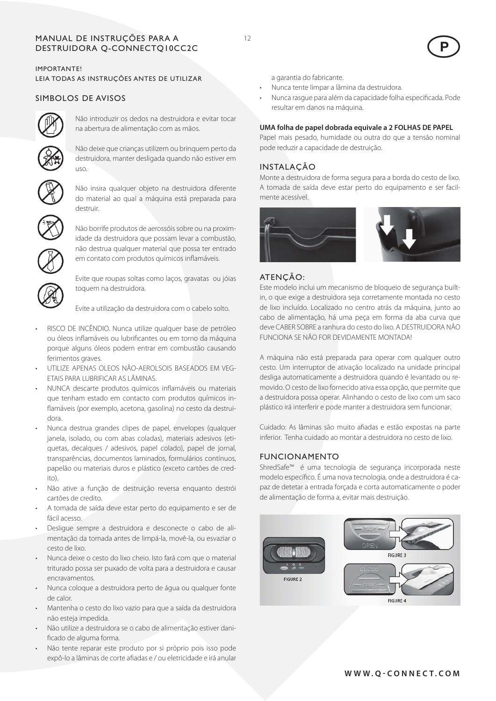## MANUAL DE INSTRUÇÕES PARA A 12 Destruidora Q-CONNECTQ10CC2C

IMPORTANTE! LEIA TODAS AS INSTRUÇÕES ANTES DE UTILIZAR

## SIMBOLOS DE AVISOS



Não introduzir os dedos na destruidora e evitar tocar na abertura de alimentação com as mãos.

Não deixe que crianças utilizem ou brinquem perto da destruidora, manter desligada quando não estiver em uso.



Não insira qualquer objeto na destruidora diferente do material ao qual a máquina está preparada para destruir.



Não borrife produtos de aerossóis sobre ou na proximidade da destruidora que possam levar a combustão, não destrua qualquer material que possa ter entrado em contato com produtos químicos inflamáveis.



Evite que roupas soltas como laços, gravatas ou jóias toquem na destruidora.

Evite a utilização da destruidora com o cabelo solto.

- RISCO DE INCÊNDIO. Nunca utilize qualquer base de petróleo ou óleos inflamáveis ou lubrificantes ou em torno da máquina porque alguns óleos podem entrar em combustão causando ferimentos graves.
- UTILIZE APENAS OLEOS NÃO-AFROLSOIS BASEADOS EM VEG-ETAIS PARA LUBRIFICAR AS LÂMINAS.
- NUNCA descarte produtos químicos inflamáveis ou materiais que tenham estado em contacto com produtos químicos inflamáveis (por exemplo, acetona, gasolina) no cesto da destruidora.
- Nunca destrua grandes clipes de papel, envelopes (qualquer janela, isolado, ou com abas coladas), materiais adesivos (etiquetas, decalques / adesivos, papel colado), papel de jornal, transparências, documentos laminados, formulários contínuos, papelão ou materiais duros e plástico (exceto cartões de credito).
- Não ative a função de destruição reversa enquanto destrói cartões de credito.
- A tomada de saída deve estar perto do equipamento e ser de fácil acesso.
- Desligue sempre a destruidora e desconecte o cabo de alimentação da tomada antes de limpá-la, movê-la, ou esvaziar o cesto de lixo.
- Nunca deixe o cesto do lixo cheio. Isto fará com que o material triturado possa ser puxado de volta para a destruidora e causar encravamentos.
- Nunca coloque a destruidora perto de água ou qualquer fonte de calor.
- Mantenha o cesto do lixo vazio para que a saída da destruidora não esteja impedida.
- Não utilize a destruidora se o cabo de alimentação estiver danificado de alguma forma.
- Não tente reparar este produto por si próprio pois isso pode expô-lo a lâminas de corte afiadas e / ou eletricidade e irá anular

a garantia do fabricante.

- Nunca tente limpar a lâmina da destruidora.
- • Nunca rasgue para além da capacidade folha especificada. Pode resultar em danos na máquina.

 $\bigodot$ 

#### **UMA folha de papel dobrada equivale a 2 FOLHAS DE PAPEL**

Papel mais pesado, humidade ou outra do que a tensão nominal pode reduzir a capacidade de destruição.

## INSTALAÇÃO

Monte a destruidora de forma segura para a borda do cesto de lixo. A tomada de saída deve estar perto do equipamento e ser facilmente acessível.



#### ATENÇÃO:

Este modelo inclui um mecanismo de bloqueio de segurança builtin, o que exige a destruidora seja corretamente montada no cesto de lixo incluído. Localizado no centro atrás da máquina, junto ao cabo de alimentação, há uma peça em forma da aba curva que deve CABER SOBRE a ranhura do cesto do lixo. A DESTRUIDORA NÃO FUNCIONA SE NÃO FOR DEVIDAMENTE MONTADA!

A máquina não está preparada para operar com qualquer outro cesto. Um interruptor de ativação localizado na unidade principal desliga automaticamente a destruidora quando é levantado ou removido. O cesto de lixo fornecido ativa essa opção, que permite que a destruidora possa operar. Alinhando o cesto de lixo com um saco plástico irá interferir e pode manter a destruidora sem funcionar.

Cuidado: As lâminas são muito afiadas e estão expostas na parte inferior. Tenha cuidado ao montar a destruidora no cesto de lixo.

## FUNCIONAMENTO

ShredSafe™ é uma tecnologia de segurança incorporada neste modelo específico. É uma nova tecnologia, onde a destruidora é capaz de detetar a entrada forçada e corta automaticamente o poder de alimentação de forma a, evitar mais destruição.



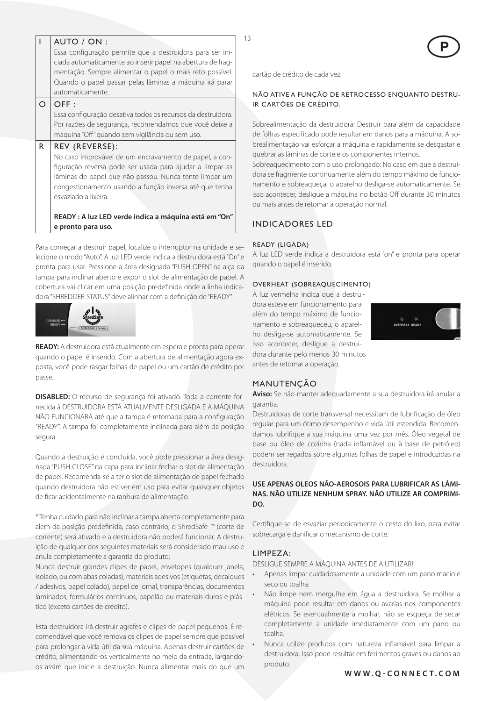|                                                           | AUTO / ON:                                                   |  |  |
|-----------------------------------------------------------|--------------------------------------------------------------|--|--|
| Essa configuração permite que a destruidora para ser ini- |                                                              |  |  |
|                                                           | ciada automaticamente ao inserir papel na abertura de frag-  |  |  |
|                                                           | mentação. Sempre alimentar o papel o mais reto possível.     |  |  |
|                                                           | Quando o papel passar pelas lâminas a máquina irá parar      |  |  |
|                                                           | automaticamente.                                             |  |  |
| $\Omega$                                                  | OFF:                                                         |  |  |
|                                                           | Essa configuração desativa todos os recursos da destruidora. |  |  |
|                                                           | Por razões de segurança, recomendamos que você deixe a       |  |  |
|                                                           | máquina "Off" quando sem vigilância ou sem uso.              |  |  |
| R                                                         | REV (REVERSE):                                               |  |  |
|                                                           | No caso improvável de um encravamento de papel, a con-       |  |  |
|                                                           | figuração reversa pode ser usada para ajudar a limpar as     |  |  |
| lâminas de papel que não passou. Nunca tente limpar um    |                                                              |  |  |
|                                                           | congestionamento usando a função inversa até que tenha       |  |  |
|                                                           | esvaziado a lixeira.                                         |  |  |
|                                                           |                                                              |  |  |
|                                                           | READY: A luz LED verde indica a máquina está em "On"         |  |  |
|                                                           | e pronto para uso.                                           |  |  |

Para começar a destruir papel, localize o interruptor na unidade e selecione o modo "Auto". A luz LED verde indica a destruidora está "On" e pronta para usar. Pressione a área designada "PUSH OPEN" na alça da tampa para inclinar aberto e expor o slot de alimentação de papel. A cobertura vai clicar em uma posição predefinida onde a linha indicadora "SHREDDER STATUS" deve alinhar com a definição de "READY".



**READY:** A destruidora está atualmente em espera e pronta para operar quando o papel é inserido. Com a abertura de alimentação agora exposta, você pode rasgar folhas de papel ou um cartão de crédito por passe.

**DISABLED:** O recurso de segurança foi ativado. Toda a corrente fornecida à DESTRUIDORA ESTÁ ATUALMENTE DESLIGADA E A MÁQUINA NÃO FUNCIONARÁ até que a tampa é retornada para a configuração "READY". A tampa foi completamente inclinada para além da posição segura

Quando a destruição é concluída, você pode pressionar a área designada "PUSH CLOSE" na capa para inclinar fechar o slot de alimentação de papel. Recomenda-se a ter o slot de alimentação de papel fechado quando destruidora não estiver em uso para evitar quaisquer objetos de ficar acidentalmente na ranhura de alimentação.

\* Tenha cuidado para não inclinar a tampa aberta completamente para alem da posição predefinida, caso contrário, o ShredSafe ™ (corte de corrente) será ativado e a destruidora não poderá funcionar. A destruição de qualquer dos seguintes materiais será considerado mau uso e anula completamente a garantia do produto:

Nunca destruir grandes clipes de papel, envelopes (qualquer janela, isolado, ou com abas coladas), materiais adesivos (etiquetas, decalques / adesivos, papel colado), papel de jornal, transparências, documentos laminados, formulários contínuos, papelão ou materiais duros e plástico (exceto cartões de crédito).

Esta destruidora irá destruir agrafes e clipes de papel pequenos. É recomendável que você remova os clipes de papel sempre que possível para prolongar a vida útil da sua máquina. Apenas destruir cartões de crédito, alimentando-os verticalmente no meio da entrada, largandoos assim que inicie a destruição. Nunca alimentar mais do que um



cartão de crédito de cada vez.

## NÃO ATIVE A FUNÇÃO DE RETROCESSO ENQUANTO DESTRU-IR CARTÕES DE CRÉDITO.

Sobrealimentação da destruidora: Destruir para além da capacidade de folhas especificado pode resultar em danos para a máquina. A sobrealimentação vai esforçar a máquina e rapidamente se desgastar e quebrar as lâminas de corte e os componentes internos.

Sobreaquecimento com o uso prolongado: No caso em que a destruidora se fragmente continuamente além do tempo máximo de funcionamento e sobreaqueça, o aparelho desliga-se automaticamente. Se isso acontecer, desligue a máquina no botão Off durante 30 minutos ou mais antes de retomar a operação normal.

# Indicadores LED

## Ready (ligada)

A luz LED verde indica a destruidora está "on" e pronta para operar quando o papel é inserido.

## Overheat (sobreaquecimento)

A luz vermelha indica que a destruidora esteve em funcionamento para além do tempo máximo de funcionamento e sobreaqueceu, o aparelho desliga-se automaticamente. Se isso acontecer, desligue a destruidora durante pelo menos 30 minutos antes de retomar a operação.



## MANUTENÇÃO

**Aviso:** Se não manter adequadamente a sua destruidora irá anular a garantia.

Destruidoras de corte transversal necessitam de lubrificação de óleo regular para um ótimo desempenho e vida útil estendida. Recomendamos lubrifique a sua máquina uma vez por mês. Óleo vegetal de base ou óleo de cozinha (nada inflamável ou à base de petróleo) podem ser regados sobre algumas folhas de papel e introduzidas na destruidora.

## **USE APENAS OLEOS NÃO-AEROSOIS PARA LUBRIFICAR AS LÂMI-NAS. NÃO UTILIZE NENHUM SPRAY. NÃO UTILIZE AR COMPRIMI-DO.**

Certifique-se de esvaziar periodicamente o cesto do lixo, para evitar sobrecarga e danificar o mecanismo de corte.

## LIMPEZA:

DESLIGUE SEMPRE A MÁQUINA ANTES DE A UTILIZAR!

- Apenas limpar cuidadosamente a unidade com um pano macio e seco ou toalha.
- Não limpe nem mergulhe em água a destruidora. Se molhar a máquina pode resultar em danos ou avarias nos componentes elétricos. Se eventualmente a molhar, não se esqueça de secar completamente a unidade imediatamente com um pano ou toalha.
- Nunca utilize produtos com natureza inflamável para limpar a destruidora. Isso pode resultar em ferimentos graves ou danos ao produto.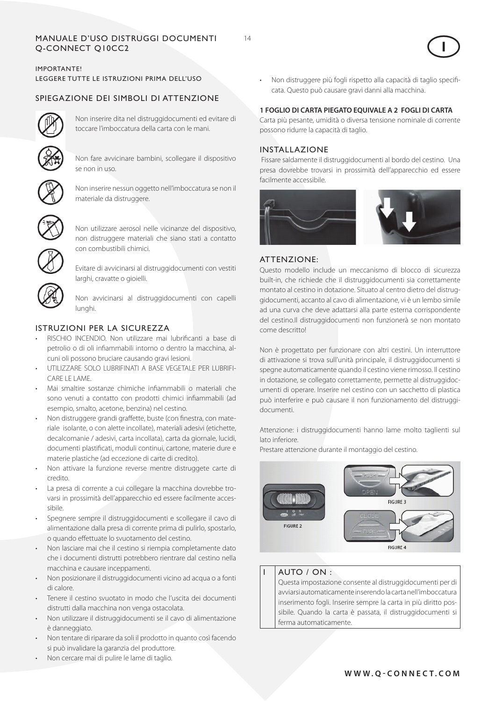# MANUALE D'USO DISTRUGGI DOCUMENTI 14 Q-CONNECT Q10CC2

# IMPORTANTE! LEGGERE TUTTE LE ISTRUZIONI PRIMA DELL'USO

# SPIEGAZIONE DEI SIMBOLI DI ATTENZIONE



Non inserire dita nel distruggidocumenti ed evitare di toccare l'imboccatura della carta con le mani.



Non fare avvicinare bambini, scollegare il dispositivo se non in uso.



Non inserire nessun oggetto nell'imboccatura se non il materiale da distruggere.



Non utilizzare aerosol nelle vicinanze del dispositivo, non distruggere materiali che siano stati a contatto con combustibili chimici.



Evitare di avvicinarsi al distruggidocumenti con vestiti larghi, cravatte o gioielli.

Non avvicinarsi al distruggidocumenti con capelli lunghi.

# ISTRUZIONI PER LA SICUREZZA

- RISCHIO INCENDIO. Non utilizzare mai lubrificanti a base di petrolio o di oli infiammabili intorno o dentro la macchina, alcuni oli possono bruciare causando gravi lesioni.
- UTILIZZARE SOLO LUBRIFINATI A BASE VEGETALE PER LUBRIFI-CARE LE LAME.
- Mai smaltire sostanze chimiche infiammabili o materiali che sono venuti a contatto con prodotti chimici infiammabili (ad esempio, smalto, acetone, benzina) nel cestino.
- Non distruggere grandi graffette, buste (con finestra, con materiale isolante, o con alette incollate), materiali adesivi (etichette, decalcomanie / adesivi, carta incollata), carta da giornale, lucidi, documenti plastificati, moduli continui, cartone, materie dure e materie plastiche (ad eccezione di carte di credito).
- Non attivare la funzione reverse mentre distruggete carte di credito.
- La presa di corrente a cui collegare la macchina dovrebbe trovarsi in prossimità dell'apparecchio ed essere facilmente accessibile.
- Spegnere sempre il distruggidocumenti e scollegare il cavo di alimentazione dalla presa di corrente prima di pulirlo, spostarlo, o quando effettuate lo svuotamento del cestino.
- • Non lasciare mai che il cestino si riempia completamente dato che i documenti distrutti potrebbero rientrare dal cestino nella macchina e causare inceppamenti.
- Non posizionare il distruggidocumenti vicino ad acqua o a fonti di calore.
- Tenere il cestino svuotato in modo che l'uscita dei documenti distrutti dalla macchina non venga ostacolata.
- Non utilizzare il distruggidocumenti se il cavo di alimentazione è danneggiato.
- Non tentare di riparare da soli il prodotto in quanto così facendo si può invalidare la garanzia del produttore.
- Non cercare mai di pulire le lame di taglio.

• Non distruggere più fogli rispetto alla capacità di taglio specificata. Questo può causare gravi danni alla macchina.

## **1 FOGLIO DI CARTA PIEGATO EQUIVALE A 2 FOGLI DI CARTA**

Carta più pesante, umidità o diversa tensione nominale di corrente possono ridurre la capacità di taglio.

## INSTALLAZIONE

 Fissare saldamente il distruggidocumenti al bordo del cestino. Una presa dovrebbe trovarsi in prossimità dell'apparecchio ed essere facilmente accessibile.



## ATTENZIONE:

Questo modello include un meccanismo di blocco di sicurezza built-in, che richiede che il distruggidocumenti sia correttamente montato al cestino in dotazione. Situato al centro dietro del distruggidocumenti, accanto al cavo di alimentazione, vi è un lembo simile ad una curva che deve adattarsi alla parte esterna corrispondente del cestino.Il distruggidocumenti non funzionerà se non montato come descritto!

Non è progettato per funzionare con altri cestini. Un interruttore di attivazione si trova sull'unità principale, il distruggidocumenti si spegne automaticamente quando il cestino viene rimosso. Il cestino in dotazione, se collegato correttamente, permette al distruggidocumenti di operare. Inserire nel cestino con un sacchetto di plastica può interferire e può causare il non funzionamento del distruggidocumenti.

Attenzione: i distruggidocumenti hanno lame molto taglienti sul lato inferiore.

Prestare attenzione durante il montaggio del cestino.



## AUTO / ON :

Questa impostazione consente al distruggidocumenti per di avviarsi automaticamente inserendo la carta nell'imboccatura inserimento fogli. Inserire sempre la carta in più diritto possibile. Quando la carta è passata, il distruggidocumenti si ferma automaticamente.

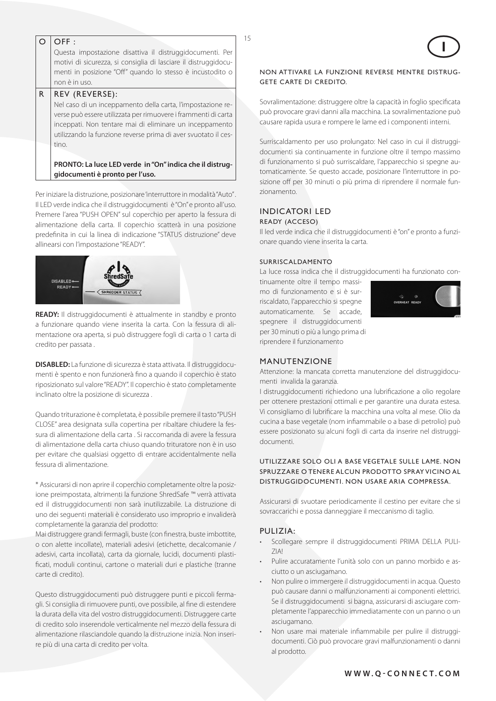| Questa impostazione disattiva il distruggidocumenti. Per<br>motivi di sicurezza, si consiglia di lasciare il distruggidocu-<br>menti in posizione "Off" quando lo stesso è incustodito o<br>non è in uso.<br>REV (REVERSE):<br>Nel caso di un inceppamento della carta, l'impostazione re- |
|--------------------------------------------------------------------------------------------------------------------------------------------------------------------------------------------------------------------------------------------------------------------------------------------|
|                                                                                                                                                                                                                                                                                            |
|                                                                                                                                                                                                                                                                                            |
|                                                                                                                                                                                                                                                                                            |
|                                                                                                                                                                                                                                                                                            |
|                                                                                                                                                                                                                                                                                            |
| verse può essere utilizzata per rimuovere i frammenti di carta<br>inceppati. Non tentare mai di eliminare un inceppamento<br>utilizzando la funzione reverse prima di aver svuotato il ces-                                                                                                |
| tino.                                                                                                                                                                                                                                                                                      |
| PRONTO: La luce LED verde in "On" indica che il distrug-                                                                                                                                                                                                                                   |
|                                                                                                                                                                                                                                                                                            |

Per iniziare la distruzione, posizionare 'interruttore in modalità "Auto" . Il LED verde indica che il distruggidocumenti è "On" e pronto all'uso. Premere l'area "PUSH OPEN" sul coperchio per aperto la fessura di alimentazione della carta. Il coperchio scatterà in una posizione predefinita in cui la linea di indicazione "STATUS distruzione" deve allinearsi con l'impostazione "READY".



**READY:** Il distruggidocumenti è attualmente in standby e pronto a funzionare quando viene inserita la carta. Con la fessura di alimentazione ora aperta, si può distruggere fogli di carta o 1 carta di credito per passata .

**DISABLED:** La funzione di sicurezza è stata attivata. Il distruggidocumenti è spento e non funzionerà fino a quando il coperchio è stato riposizionato sul valore "READY". Il coperchio è stato completamente inclinato oltre la posizione di sicurezza .

Quando triturazione è completata, è possibile premere il tasto "PUSH CLOSE" area designata sulla copertina per ribaltare chiudere la fessura di alimentazione della carta . Si raccomanda di avere la fessura di alimentazione della carta chiuso quando trituratore non è in uso per evitare che qualsiasi oggetto di entrare accidentalmente nella fessura di alimentazione.

\* Assicurarsi di non aprire il coperchio completamente oltre la posizione preimpostata, altrimenti la funzione ShredSafe ™ verrà attivata ed il distruggidocumenti non sarà inutilizzabile. La distruzione di uno dei seguenti materiali è considerato uso improprio e invaliderà completamente la garanzia del prodotto:

Mai distruggere grandi fermagli, buste (con finestra, buste imbottite, o con alette incollate), materiali adesivi (etichette, decalcomanie / adesivi, carta incollata), carta da giornale, lucidi, documenti plastificati, moduli continui, cartone o materiali duri e plastiche (tranne carte di credito).

Questo distruggidocumenti può distruggere punti e piccoli fermagli. Si consiglia di rimuovere punti, ove possibile, al fine di estendere la durata della vita del vostro distruggidocumenti. Distruggere carte di credito solo inserendole verticalmente nel mezzo della fessura di alimentazione rilasciandole quando la distruzione inizia. Non inserire più di una carta di credito per volta.

## NON ATTIVARE LA FUNZIONE REVERSE MENTRE DISTRUG-GETE CARTE DI CREDITO.

 $\overline{15}$ 

Sovralimentazione: distruggere oltre la capacità in foglio specificata può provocare gravi danni alla macchina. La sovralimentazione può causare rapida usura e rompere le lame ed i componenti interni.

Surriscaldamento per uso prolungato: Nel caso in cui il distruggidocumenti sia continuamente in funzione oltre il tempo massimo di funzionamento si può surriscaldare, l'apparecchio si spegne automaticamente. Se questo accade, posizionare l'interruttore in posizione off per 30 minuti o più prima di riprendere il normale funzionamento.

## Indicatori Led Ready (acceso)

Il led verde indica che il distruggidocumenti è "on" e pronto a funzionare quando viene inserita la carta.

## Surriscaldamento

La luce rossa indica che il distruggidocumenti ha funzionato con-

tinuamente oltre il tempo massimo di funzionamento e si è surriscaldato, l'apparecchio si spegne automaticamente. Se accade, spegnere il distruggidocumenti per 30 minuti o più a lungo prima di riprendere il funzionamento



## MANUTENZIONE

Attenzione: la mancata corretta manutenzione del distruggidocumenti invalida la garanzia.

I distruggidocumenti richiedono una lubrificazione a olio regolare per ottenere prestazioni ottimali e per garantire una durata estesa. Vi consigliamo di lubrificare la macchina una volta al mese. Olio da cucina a base vegetale (nom infiammabile o a base di petrolio) può essere posizionato su alcuni fogli di carta da inserire nel distruggidocumenti.

## UTILIZZARE SOLO OLI A BASE VEGETALE SULLE LAME. NON SPRUZZARE O TENERE ALCUN PRODOTTO SPRAY VICINO AL DISTRUGGIDOCUMENTI. NON USARE ARIA COMPRESSA.

Assicurarsi di svuotare periodicamente il cestino per evitare che si sovraccarichi e possa danneggiare il meccanismo di taglio.

## PULIZIA:

- Scollegare sempre il distruggidocumenti PRIMA DELLA PULI-ZIA!
- Pulire accuratamente l'unità solo con un panno morbido e asciutto o un asciugamano.
- Non pulire o immergere il distruggidocumenti in acqua. Questo può causare danni o malfunzionamenti ai componenti elettrici. Se il distruggidocumenti si bagna, assicurarsi di asciugare completamente l'apparecchio immediatamente con un panno o un asciugamano.
- Non usare mai materiale infiammabile per pulire il distruggidocumenti. Ciò può provocare gravi malfunzionamenti o danni al prodotto.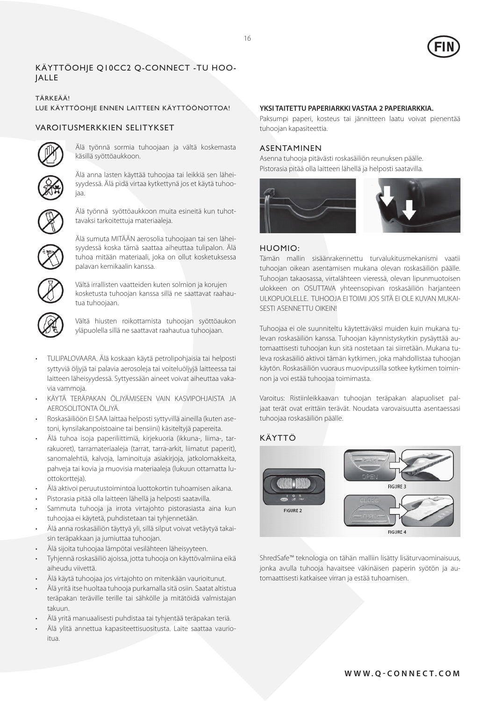

## Käyttöohje Q10CC2 Q-CONNECT -tu hoo-**JALLE**

## TÄRKEÄÄ!

#### LUE KÄYTTÖOHJE ENNEN LAITTEEN KÄYTTÖÖNOTTOA!

## VAROITUSMERKKIEN SELITYKSET



Älä työnnä sormia tuhoojaan ja vältä koskemasta käsillä syöttöaukkoon.



Älä anna lasten käyttää tuhoojaa tai leikkiä sen läheisyydessä. Älä pidä virtaa kytkettynä jos et käytä tuhoojaa.



Älä työnnä syöttöaukkoon muita esineitä kun tuhottavaksi tarkoitettuja materiaaleja.



Älä sumuta MITÄÄN aerosolia tuhoojaan tai sen läheisyydessä koska tämä saattaa aiheuttaa tulipalon. Älä tuhoa mitään materiaali, joka on ollut kosketuksessa palavan kemikaalin kanssa.



Vältä irrallisten vaatteiden kuten solmion ja korujen kosketusta tuhoojan kanssa sillä ne saattavat raahautua tuhoojaan.



Vältä hiusten roikottamista tuhoojan syöttöaukon yläpuolella sillä ne saattavat raahautua tuhoojaan.

- TULIPALOVAARA. Älä koskaan käytä petrolipohjaisia tai helposti syttyviä öljyjä tai palavia aerosoleja tai voiteluöljyjä laitteessa tai laitteen läheisyydessä. Syttyessään aineet voivat aiheuttaa vakavia vammoja.
- KÄYTÄ TERÄPAKAN ÖLJYÄMISEEN VAIN KASVIPOHJAISTA JA AEROSOLITONTA ÖLJYÄ.
- Roskasäiliöön EI SAA laittaa helposti syttyvillä aineilla (kuten asetoni, kynsilakanpoistoaine tai bensiini) käsiteltyjä papereita.
- Älä tuhoa isoja paperiliittimiä, kirjekuoria (ikkuna-, liima-, tarrakuoret), tarramateriaaleja (tarrat, tarra-arkit, liimatut paperit), sanomalehtiä, kalvoja, laminoituja asiakirjoja, jatkolomakkeita, pahveja tai kovia ja muovisia materiaaleja (lukuun ottamatta luottokortteja).
- Älä aktivoi peruutustoimintoa luottokortin tuhoamisen aikana.
- Pistorasia pitää olla laitteen lähellä ja helposti saatavilla.
- Sammuta tuhooja ja irrota virtajohto pistorasiasta aina kun tuhoojaa ei käytetä, puhdistetaan tai tyhjennetään.
- Älä anna roskasäiliön täyttyä yli, sillä silput voivat vetäytyä takaisin teräpakkaan ja jumiuttaa tuhoojan.
- Älä sijoita tuhoojaa lämpötai vesilähteen läheisyyteen.
- Tyhjennä roskasäiliö ajoissa, jotta tuhooja on käyttövalmiina eikä aiheudu viivettä.
- Älä käytä tuhoojaa jos virtajohto on mitenkään vaurioitunut.
- Älä yritä itse huoltaa tuhooja purkamalla sitä osiin. Saatat altistua teräpakan teräville terille tai sähkölle ja mitätöidä valmistajan takuun.
- Älä yritä manuaalisesti puhdistaa tai tyhjentää teräpakan teriä.
- Älä ylitä annettua kapasiteettisuositusta. Laite saattaa vaurioitua.

## **YKSI TAITETTU PAPERIARKKI VASTAA 2 PAPERIARKKIA.**

Paksumpi paperi, kosteus tai jännitteen laatu voivat pienentää tuhoojan kapasiteettia.

## ASENTAMINEN

Asenna tuhooja pitävästi roskasäiliön reunuksen päälle. Pistorasia pitää olla laitteen lähellä ja helposti saatavilla.



## HUOMIO:

Tämän mallin sisäänrakennettu turvalukitusmekanismi vaatii tuhoojan oikean asentamisen mukana olevan roskasäiliön päälle. Tuhoojan takaosassa, virtalähteen vieressä, olevan lipunmuotoisen ulokkeen on OSUTTAVA yhteensopivan roskasäiliön harjanteen ULKOPUOLELLE. TUHOOJA EI TOIMI JOS SITÄ EI OLE KUVAN MUKAI-SESTI ASENNETTU OIKEIN!

Tuhoojaa ei ole suunniteltu käytettäväksi muiden kuin mukana tulevan roskasäiliön kanssa. Tuhoojan käynnistyskytkin pysäyttää automaattisesti tuhoojan kun sitä nostetaan tai siirretään. Mukana tuleva roskasäiliö aktivoi tämän kytkimen, joka mahdollistaa tuhoojan käytön. Roskasäiliön vuoraus muovipussilla sotkee kytkimen toiminnon ja voi estää tuhoojaa toimimasta.

Varoitus: Ristiinleikkaavan tuhoojan teräpakan alapuoliset paljaat terät ovat erittäin terävät. Noudata varovaisuutta asentaessasi tuhoojaa roskasäiliön päälle.

## KÄYTTÖ



ShredSafe™ teknologia on tähän malliin lisätty lisäturvaominaisuus, jonka avulla tuhooja havaitsee väkinäisen paperin syötön ja automaattisesti katkaisee virran ja estää tuhoamisen.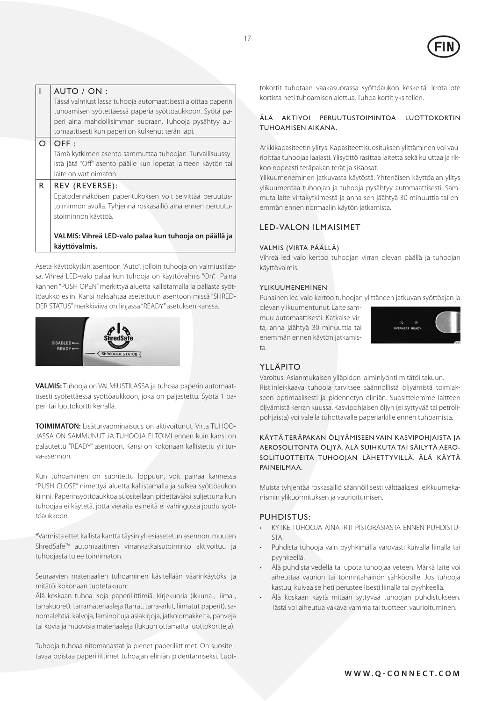

## AUTO / ON :

Tässä valmiustilassa tuhooja automaattisesti aloittaa paperin tuhoamisen syötettäessä paperia syöttöaukkoon. Syötä paperi aina mahdollisimman suoraan. Tuhooja pysähtyy automaattisesti kun paperi on kulkenut terän läpi.

#### $O$   $O$  FF :

Tämä kytkimen asento sammuttaa tuhoojan. Turvallisuussyistä jätä "Off" asento päälle kun lopetat laitteen käytön tai laite on vartioimaton.

## $R$  REV (REVERSE):

Epätodennäköisen paperitukoksen voit selvittää peruutustoiminnon avulla. Tyhjennä roskasäiliö aina ennen peruutustoiminnon käyttöä.

**VALMIS: Vihreä LED-valo palaa kun tuhooja on päällä ja käyttövalmis.** 

Aseta käyttökytkin asentoon "Auto", jolloin tuhooja on valmiustilassa. Vihreä LED-valo palaa kun tuhooja on käyttövalmis "On". Paina kannen "PUSH OPEN" merkittyä aluetta kallistamalla ja paljasta syöttöaukko esiin. Kansi naksahtaa asetettuun asentoon missä "SHRED-DER STATUS" merkkiviiva on linjassa "READY" asetuksen kanssa.



**VALMIS:** Tuhooja on VALMIUSTILASSA ja tuhoaa paperin automaattisesti syötettäessä syöttöaukkoon, joka on paljastettu. Syötä 1 paperi tai luottokortti kerralla.

**TOIMIMATON:** Lisäturvaominaisuus on aktivoitunut. Virta TUHOO-JASSA ON SAMMUNUT JA TUHOOJA EI TOIMI ennen kuin kansi on palautettu "READY" asentoon. Kansi on kokonaan kallistettu yli turva-asennon.

Kun tuhoaminen on suoritettu loppuun, voit painaa kannessa "PUSH CLOSE" nimettyä aluetta kallistamalla ja sulkea syöttöaukon kiinni. Paperinsyöttöaukkoa suositellaan pidettäväksi suljettuna kun tuhoojaa ei käytetä, jotta vieraita esineitä ei vahingossa joudu syöttöaukkoon.

\*Varmista ettet kallista kantta täysin yli esiasetetun asennon, muuten ShredSafe™ automaattinen virrankatkaisutoiminto aktivoituu ja tuhoojasta tulee toimimaton.

Seuraavien materiaalien tuhoaminen käsitellään väärinkäytöksi ja mitätöi kokonaan tuotetakuun:

Älä koskaan tuhoa isoja paperiliittimiä, kirjekuoria (ikkuna-, liima-, tarrakuoret), tarramateriaaleja (tarrat, tarra-arkit, liimatut paperit), sanomalehtiä, kalvoja, laminoituja asiakirjoja, jatkolomakkeita, pahveja tai kovia ja muovisia materiaaleja (lukuun ottamatta luottokortteja).

Tuhooja tuhoaa nitomanastat ja pienet paperiliittimet. On suositeltavaa poistaa paperiliittimet tuhoajan eliniän pidentämiseksi. Luottokortit tuhotaan vaakasuorassa syöttöaukon keskeltä. Irrota ote kortista heti tuhoamisen alettua. Tuhoa kortit yksitellen.

## ÄLÄ AKTIVOI PERUUTUSTOIMINTOA LUOTTOKORTIN TUHOAMISEN AIKANA.

Arkkikapasiteetin ylitys: Kapasiteettisuosituksen ylittäminen voi vaurioittaa tuhoojaa laajasti. Ylisyöttö rasittaa laitetta sekä kuluttaa ja rikkoo nopeasti teräpakan terät ja sisäosat.

Ylikuumeneminen jatkuvasta käytöstä: Yhtenäisen käyttöajan ylitys ylikuumentaa tuhoojan ja tuhooja pysähtyy automaattisesti. Sammuta laite virtakytkimestä ja anna sen jäähtyä 30 minuuttia tai enemmän ennen normaalin käytön jatkamista.

## LED-valon ilmaisimet

#### Valmis (virta päällä)

Vihreä led valo kertoo tuhoojan virran olevan päällä ja tuhoojan käyttövalmis.

#### Ylikuumeneminen

Punainen led valo kertoo tuhoojan ylittäneen jatkuvan syöttöajan ja

olevan ylikuumentunut. Laite sammuu automaattisesti. Katkaise virta, anna jäähtyä 30 minuuttia tai enemmän ennen käytön jatkamista.



## YLLÄPITO

Varoitus: Asianmukaisen ylläpidon laiminlyönti mitätöi takuun. Ristiinleikkaava tuhooja tarvitsee säännöllistä öljyämistä toimiakseen optimaalisesti ja pidennetyn eliniän. Suosittelemme laitteen öljyämistä kerran kuussa. Kasvipohjaisen öljyn (ei syttyvää tai petrolipohjaista) voi valella tuhottavalle paperiarkille ennen tuhoamista.

## KÄYTÄ TERÄPAKAN ÖLJYÄMISEEN VAIN KASVIPOHJAISTA JA AEROSOLITONTA ÖLJYÄ. ÄLÄ SUIHKUTA TAI SÄILYTÄ AERO-SOLITUOTTEITA TUHOOJAN LÄHETTYVILLÄ. ÄLÄ KÄYTÄ PAINEILMAA.

Muista tyhjentää roskasäiliö säännöllisesti välttääksesi leikkuumekanismin ylikuormituksen ja vaurioitumisen.

## PUHDISTUS:

- KYTKE TUHOOJA AINA IRTI PISTORASIASTA ENNEN PUHDISTU-STA!
- Puhdista tuhooja vain pyyhkimällä varovasti kuivalla liinalla tai pyyhkeellä.
- Älä puhdista vedellä tai upota tuhoojaa veteen. Märkä laite voi aiheuttaa vaurion tai toimintahäiriön sähköosille. Jos tuhooja kastuu, kuivaa se heti perusteellisesti liinalla tai pyyhkeellä.
- Älä koskaan käytä mitään syttyvää tuhoojan puhdistukseen. Tästä voi aiheutua vakava vamma tai tuotteen vaurioituminen.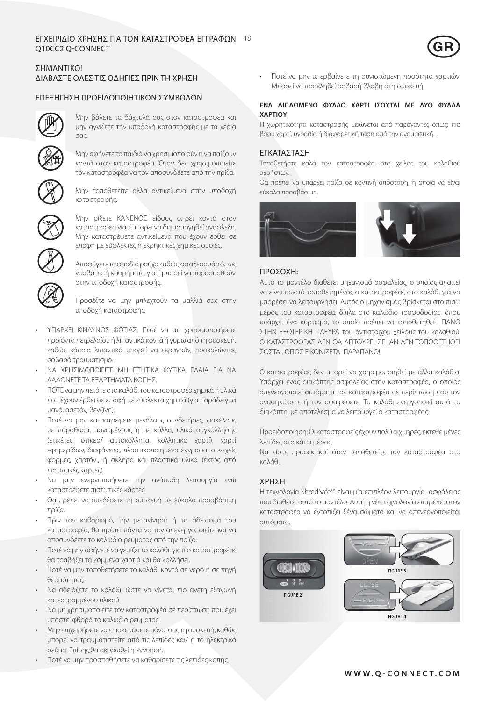# Εγχ Q10CC2 Q-CONNECT ΕΙΡΙΔΙΟ ΧΡΗΣΗΣ ΓΙΑ ΤΟΝ ΚΑΤΑΣΤΡΟΦΕΑ ΕΓΓΡΑΦΩΝ 18  $\overline{\textsf{GR}}$



# ΣΗΜΑΝΤΙΚΟ! ΔΙΑΒΑΣΤΕ ΟΛΕΣ ΤΙΣ ΟΔΗΓΙΕΣ ΠΡΙΝ ΤΗ ΧΡΗΣΗ

# ΕΠΕΞΗΓΗΣΗ ΠΡΟΕΙΔΟΠΟΙΗΤΙΚΩΝ ΣΥΜΒΟΛΩΝ



Μην βάλετε τα δάχτυλά σας στον καταστροφέα και μην αγγίξετε την υποδοχή καταστροφής με τα χέρια σας.



Μην αφήνετε τα παιδιά να χρησιμοποιούν ή να παίζουν κοντά στον καταστροφέα. Όταν δεν χρησιμοποιείτε τον καταστροφέα να τον αποσυνδέετε από την πρίζα.



Μην τοποθετείτε άλλα αντικείμενα στην υποδοχή καταστροφής.



Μην ρίξετε ΚΑΝΕΝΟΣ είδους σπρέι κοντά στον καταστροφέα γιατί μπορεί να δημιουργηθεί ανάφλεξη. Μην καταστρέψετε αντικείμενα που έχουν έρθει σε επαφή με εύφλεκτες ή εκρηκτικές χημικές ουσίες.



Αποφύγετε τα φαρδιά ρούχα καθώς και αξεσουάρ όπως γραβάτες ή κοσμήματα γιατί μπορεί να παρασυρθούν στην υποδοχή καταστροφής.

Προσέξτε να μην μπλεχτούν τα μαλλιά σας στην υποδοχή καταστροφής.

- ΥΠΑΡΧΕΙ ΚΙΝΔΥΝΟΣ ΦΩΤΙΑΣ. Ποτέ να μη χρησιμοποιήσετε προϊόντα πετρελαίου ή λιπαντικά κοντά ή γύρω από τη συσκευή, καθώς κάποια λιπαντικά μπορεί να εκραγούν, προκαλώντας σοβαρό τραυματισμό.
- ΝΑ ΧΡΗΣΙΜΟΠΟΙΕΙΤΕ ΜΗ ΠΤΗΤΙΚΑ ΦΥΤΙΚΑ ΕΛΑΙΑ ΓΙΑ ΝΑ ΛΑΔΩΝΕΤΕ ΤΑ ΕΞΑΡΤΗΜΑΤΑ ΚΟΠΗΣ.
- • ΠΟΤΕ να μην πετάτε στο καλάθι του καταστροφέα χημικά ή υλικά που έχουν έρθει σε επαφή με εύφλεκτα χημικά (για παράδειγμα μανό, ασετόν, βενζίνη).
- Ποτέ να μην καταστρέφετε μεγάλους συνδετήρες, φακέλους με παράθυρα, μονωμένους ή με κόλλα, υλικά συγκόλλησης (ετικέτες, στίκερ/ αυτοκόλλητα, κολλητικό χαρτί), χαρτί εφημερίδων, διαφάνειες, πλαστικοποιημένα έγγραφα, συνεχείς φόρμες, χαρτόνι, ή σκληρά και πλαστικά υλικά (εκτός από πιστωτικές κάρτες).
- Να μην ενεργοποιήσετε την ανάποδη λειτουργία ενώ καταστρέφετε πιστωτικές κάρτες.
- Θα πρέπει να συνδέσετε τη συσκευή σε εύκολα προσβάσιμη πρίζα.
- Πριν τον καθαρισμό, την μετακίνηση ή το άδειασμα του καταστροφέα, θα πρέπει πάντα να τον απενεργοποιείτε και να αποσυνδέετε το καλώδιο ρεύματος από την πρίζα.
- Ποτέ να μην αφήνετε να γεμίζει το καλάθι, γιατί ο καταστροφέας θα τραβήξει τα κομμένα χαρτιά και θα κολλήσει.
- Ποτέ να μην τοποθετήσετε το καλάθι κοντά σε νερό ή σε πηγή θερμότητας.
- Να αδειάζετε το καλάθι, ώστε να γίνεται πιο άνετη εξαγωγή κατεστραμμένου υλικού.
- • Να μη χρησιμοποιείτε τον καταστροφέα σε περίπτωση που έχει υποστεί φθορά το καλώδιο ρεύματος.
- • Μην επιχειρήσετε να επισκευάσετε μόνοι σας τη συσκευή, καθώς μπορεί να τραυματιστείτε από τις λεπίδες και/ ή το ηλεκτρικό ρεύμα. Επίσης,θα ακυρωθεί η εγγύηση.
- Ποτέ να μην προσπαθήσετε να καθαρίσετε τις λεπίδες κοπής.

• Ποτέ να μην υπερβαίνετε τη συνιστώμενη ποσότητα χαρτιών. Μπορεί να προκληθεί σοβαρή βλάβη στη συσκευή.

## **ΕΝΑ ΔΙΠΛΩΜΕΝΟ ΦΥΛΛΟ ΧΑΡΤΙ ΙΣΟΥΤΑΙ ΜΕ ΔΥΟ ΦΥΛΛΑ ΧΑΡΤΙΟΥ**

Η χωρητικότητα καταστροφής μειώνεται από παράγοντες όπως: πιο βαρύ χαρτί, υγρασία ή διαφορετική τάση από την ονομαστική.

## ΕΓΚΑΤΑΣΤΑΣΗ

Τοποθετήστε καλά τον καταστροφέα στο χείλος του καλαθιού αχρήστων.

Θα πρέπει να υπάρχει πρίζα σε κοντινή απόσταση, η οποία να είναι εύκολα προσβάσιμη.



## ΠΡΟΣΟΧΗ:

Αυτό το μοντέλο διαθέτει μηχανισμό ασφαλείας, ο οποίος απαιτεί να είναι σωστά τοποθετημένος ο καταστροφέας στο καλάθι για να μπορέσει να λειτουργήσει. Αυτός ο μηχανισμός βρίσκεται στο πίσω μέρος του καταστροφέα, δίπλα στο καλώδιο τροφοδοσίας, όπου υπάρχει ένα κύρτωμα, το οποίο πρέπει να τοποθετηθεί ΠΑΝΩ ΣΤΗΝ ΕΞΩΤΕΡΙΚΗ ΠΛΕΥΡΑ του αντίστοιχου χείλους του καλαθιού. Ο ΚΑΤΑΣΤΡΟΦΕΑΣ ΔΕΝ ΘΑ ΛΕΙΤΟΥΡΓΗΣΕΙ ΑΝ ΔΕΝ ΤΟΠΟΘΕΤΗΘΕΙ ΣΩΣΤΑ , ΟΠΩΣ ΕΙΚΟΝΙΖΕΤΑΙ ΠΑΡΑΠΑΝΩ!

Ο καταστροφέας δεν μπορεί να χρησιμοποιηθεί με άλλα καλάθια. Υπάρχει ένας διακόπτης ασφαλείας στον καταστροφέα, ο οποίος απενεργοποιεί αυτόματα τον καταστροφέα σε περίπτωση που τον ανασηκώσετε ή τον αφαιρέσετε. Το καλάθι ενεργοποιεί αυτό το διακόπτη, με αποτέλεσμα να λειτουργεί ο καταστροφέας.

Προειδοποίηση: Οι καταστροφείς έχουν πολύ αιχμηρές, εκτεθειμένες λεπίδες στο κάτω μέρος.

Να είστε προσεκτικοί όταν τοποθετείτε τον καταστροφέα στο καλάθι.

## ΧΡΗΣΗ

Η τεχνολογία ShredSafe™ είναι μία επιπλέον λειτουργία ασφάλειας που διαθέτει αυτό το μοντέλο. Αυτή η νέα τεχνολογία επιτρέπει στον καταστροφέα να εντοπίζει ξένα σώματα και να απενεργοποιείται αυτόματα.

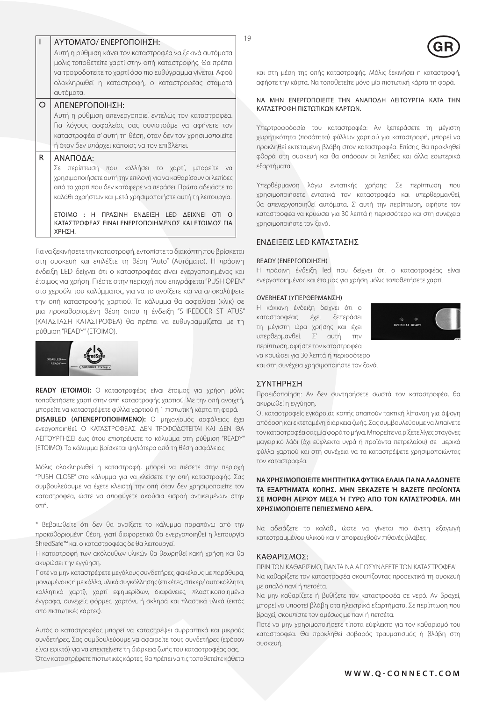|    | ΑΥΤΟΜΑΤΟ/ ΕΝΕΡΓΟΠΟΙΗΣΗ:<br>Αυτή η ρύθμιση κάνει τον καταστροφέα να ξεκινά αυτόματα<br>μόλις τοποθετείτε χαρτί στην οπή καταστροφής. Θα πρέπει<br>να τροφοδοτείτε το χαρτί όσο πιο ευθύγραμμα γίνεται. Αφού<br>ολοκληρωθεί η καταστροφή, ο καταστροφέας σταματά<br>αυτόματα.                                   |        |
|----|---------------------------------------------------------------------------------------------------------------------------------------------------------------------------------------------------------------------------------------------------------------------------------------------------------------|--------|
| ∩  | ΑΠΕΝΕΡΓΟΠΟΙΗΣΗ:                                                                                                                                                                                                                                                                                               |        |
|    | Αυτή η ρύθμιση απενεργοποιεί εντελώς τον καταστροφέα.<br>Για λόγους ασφαλείας σας συνιστούμε να αφήνετε τον<br>καταστροφέα σ' αυτή τη θέση, όταν δεν τον χρησιμοποιείτε                                                                                                                                       |        |
|    |                                                                                                                                                                                                                                                                                                               |        |
|    | ή όταν δεν υπάρχει κάποιος να τον επιβλέπει.<br>ΑΝΑΠΟΔΑ:<br>περίπτωση που κολλήσει το χαρτί, μπορείτε να<br>Σε<br>χρησιμοποιήσετε αυτή την επιλογή για να καθαρίσουν οι λεπίδες<br>από το χαρτί που δεν κατάφερε να περάσει. Πρώτα αδειάστε το<br>καλάθι αχρήστων και μετά χρησιμοποιήστε αυτή τη λειτουργία. |        |
| R. |                                                                                                                                                                                                                                                                                                               |        |
|    | <b>FTOIMO</b><br>ΠΡΑΣΙΝΗ<br><b>FNAFIFH</b><br>I FD<br><b>AFIXNEL</b><br>OTI<br>H<br>ΚΑΤΑΣΤΡΟΦΕΑΣ ΕΙΝΑΙ ΕΝΕΡΓΟΠΟΙΗΜΕΝΟΣ ΚΑΙ ΕΤΟΙΜΟΣ ΓΙΑ<br>ΧΡΗΣΗ.                                                                                                                                                              | K<br>X |

Για να ξεκινήσετε την καταστροφή, εντοπίστε το διακόπτη που βρίσκεται στη συσκευή και επιλέξτε τη θέση "Auto" (Αυτόματο). Η πράσινη ένδειξη LED δείχνει ότι ο καταστροφέας είναι ενεργοποιημένος και έτοιμος για χρήση. Πιέστε στην περιοχή που επιγράφεται "PUSH OPEN" στο χερούλι του καλύμματος, για να το ανοίξετε και να αποκαλύψετε την οπή καταστροφής χαρτιού. Το κάλυμμα θα ασφαλίσει (κλικ) σε μια προκαθορισμένη θέση όπου η ένδειξη "SHREDDER ST ATUS" (ΚΑΤΑΣΤΑΣΗ ΚΑΤΑΣΤΡΟΦΕΑ) θα πρέπει να ευθυγραμμίζεται με τη ρύθμιση "READY" (ΕΤΟΙΜΟ).



**READY (ΕΤΟΙΜΟ):** Ο καταστροφέας είναι έτοιμος για χρήση μόλις τοποθετήσετε χαρτί στην οπή καταστροφής χαρτιού. Με την οπή ανοιχτή, μπορείτε να καταστρέψετε φύλλα χαρτιού ή 1 πιστωτική κάρτα τη φορά. **DISABLED (ΑΠΕΝΕΡΓΟΠΟΙΗΜΕΝΟ):** Ο μηχανισμός ασφάλειας έχει ενεργοποιηθεί. Ο ΚΑΤΑΣΤΡΟΦΕΑΣ ΔΕΝ ΤΡΟΦΟΔΟΤΕΙΤΑΙ ΚΑΙ ΔΕΝ ΘΑ ΛΕΙΤΟΥΡΓΗΣΕΙ έως ότου επιστρέψετε το κάλυμμα στη ρύθμιση "READY" (ΕΤΟΙΜΟ). Το κάλυμμα βρίσκεται ψηλότερα από τη θέση ασφάλειας

Μόλις ολοκληρωθεί η καταστροφή, μπορεί να πιέσετε στην περιοχή "PUSH CLOSE" στο κάλυμμα για να κλείσετε την οπή καταστροφής. Σας συμβουλεύουμε να έχετε κλειστή την οπή όταν δεν χρησιμοποιείτε τον καταστροφέα, ώστε να αποφύγετε ακούσια εισροή αντικειμένων στην οπή.

\* Βεβαιωθείτε ότι δεν θα ανοίξετε το κάλυμμα παραπάνω από την προκαθορισμένη θέση, γιατί διαφορετικά θα ενεργοποιηθεί η λειτουργία ShredSafe™ και ο καταστροφέας δε θα λειτουργεί.

Η καταστροφή των ακόλουθων υλικών θα θεωρηθεί κακή χρήση και θα ακυρώσει την εγγύηση.

Ποτέ να μην καταστρέφετε μεγάλους συνδετήρες, φακέλους με παράθυρα, μονωμένους ή με κόλλα, υλικά συγκόλλησης (ετικέτες, στίκερ/ αυτοκόλλητα, κολλητικό χαρτί), χαρτί εφημερίδων, διαφάνειες, πλαστικοποιημένα έγγραφα, συνεχείς φόρμες, χαρτόνι, ή σκληρά και πλαστικά υλικά (εκτός από πιστωτικές κάρτες).

Αυτός ο καταστροφέας μπορεί να καταστρέψει συρραπτικά και μικρούς συνδετήρες. Σας συμβουλεύουμε να αφαιρείτε τους συνδετήρες (εφόσον είναι εφικτό) για να επεκτείνετε τη διάρκεια ζωής του καταστροφέας σας. Όταν καταστρέφετε πιστωτικές κάρτες, θα πρέπει να τις τοποθετείτε κάθετα



και στη μέση της οπής καταστροφής. Μόλις ξεκινήσει η καταστροφή, αφήστε την κάρτα. Να τοποθετείτε μόνο μία πιστωτική κάρτα τη φορά.

#### ΝΑ ΜΗΝ ΕΝΕΡΓΟΠΟΙΕΙΤΕ ΤΗΝ ΑΝΑΠΟΔΗ ΛΕΙΤΟΥΡΓΙΑ ΚΑΤΑ ΤΗΝ ΚΑΤΑΣΤΡΟΦΗ ΠΙΣΤΩΤΙΚΩΝ ΚΑΡΤΩΝ.

Υπερτροφοδοσία του καταστροφέα: Αν ξεπεράσετε τη μέγιστη χωρητικότητα (ποσότητα) φύλλων χαρτιού για καταστροφή, μπορεί να προκληθεί εκτεταμένη βλάβη στον καταστροφέα. Επίσης, θα προκληθεί φθορά στη συσκευή και θα σπάσουν οι λεπίδες και άλλα εσωτερικά εξαρτήματα.

Υπερθέρμανση λόγω εντατικής χρήσης: Σε περίπτωση που χρησιμοποιήσετε εντατικά τον καταστροφέα και υπερθερμανθεί, θα απενεργοποιηθεί αυτόματα. Σ' αυτή την περίπτωση, αφήστε τον καταστροφέα να κρυώσει για 30 λεπτά ή περισσότερο και στη συνέχεια χρησιμοποιήστε τον ξανά.

## ΕΝΔΕΙΞΕΙΣ LED ΚΑΤΑΣΤΑΣΗΣ

#### Ready (ΕνΕργοΠοιήσή)

Η πράσινη ένδειξη led που δείχνει ότι ο καταστροφέας είναι ενεργοποιημένος και έτοιμος για χρήση μόλις τοποθετήσετε χαρτί.

#### ΟVERHEAT (ΥΠΕΡΘΕΡΜΑΝΣΗ)

Η κόκκινη ένδειξη δείχνει ότι ο καταστροφέας έχει ξεπεράσει τη μέγιστη ώρα χρήσης και έχει υπερθερμανθεί. Σ' αυτή την περίπτωση, αφήστε τον καταστροφέα να κρυώσει για 30 λεπτά ή περισσότερο και στη συνέχεια χρησιμοποιήστε τον ξανά.



#### ΣΥΝΤΗΡΗΣΗ

Προειδοποίηση: Αν δεν συντηρήσετε σωστά τον καταστροφέα, θα ακυρωθεί η εγγύηση.

Οι καταστροφείς εγκάρσιας κοπής απαιτούν τακτική λίπανση για άψογη απόδοση και εκτεταμένη διάρκεια ζωής. Σας συμβουλεύουμε να λιπαίνετε τον καταστροφέα σας μία φορά το μήνα. Μπορείτε να ρίξετε λίγες σταγόνες μαγειρικό λάδι (όχι εύφλεκτα υγρά ή προϊόντα πετρελαίου) σε μερικά φύλλα χαρτιού και στη συνέχεια να τα καταστρέψετε χρησιμοποιώντας τον καταστροφέα.

## **ΝΑ ΧΡΗΣΙΜΟΠΟΙΕΙΤΕ ΜΗ ΠΤΗΤΙΚΑ ΦΥΤΙΚΑ ΕΛΑΙΑ ΓΙΑ ΝΑ ΛΑΔΩΝΕΤΕ ΤΑ ΕΞΑΡΤΗΜΑΤΑ ΚΟΠΗΣ. ΜΗΝ ΞΕΚΑΖΕΤΕ Ή ΒΑΖΕΤΕ ΠΡΟΪΟΝΤΑ ΣΕ ΜΟΡΦΗ ΑΕΡΙΟΥ ΜΕΣΑ Ή ΓΥΡΩ ΑΠΟ ΤΟΝ ΚΑΤΑΣΤΡΟΦΕΑ. ΜΗ ΧΡΗΣΙΜΟΠΟΙΕΙΤΕ ΠΕΠΙΕΣΜΕΝΟ ΑΕΡΑ.**

Να αδειάζετε το καλάθι, ώστε να γίνεται πιο άνετη εξαγωγή κατεστραμμένου υλικού και ν' αποφευχθούν πιθανές βλάβες.

## ΚΑΘΑΡΙΣΜΟΣ:

ΠΡΙΝ ΤΟΝ ΚΑΘΑΡΙΣΜΟ, ΠΑΝΤΑ ΝΑ ΑΠΟΣΥΝΔΕΕΤΕ ΤΟΝ ΚΑΤΑΣΤΡΟΦΕΑ! Να καθαρίζετε τον καταστροφέα σκουπίζοντας προσεκτικά τη συσκευή με απαλό πανί ή πετσέτα.

Να μην καθαρίζετε ή βυθίζετε τον καταστροφέα σε νερό. Αν βραχεί, μπορεί να υποστεί βλάβη στα ηλεκτρικά εξαρτήματα. Σε περίπτωση που βραχεί, σκουπίστε τον αμέσως με πανί ή πετσέτα.

Ποτέ να μην χρησιμοποιήσετε τίποτα εύφλεκτο για τον καθαρισμό του καταστροφέα. Θα προκληθεί σοβαρός τραυματισμός ή βλάβη στη συσκευή.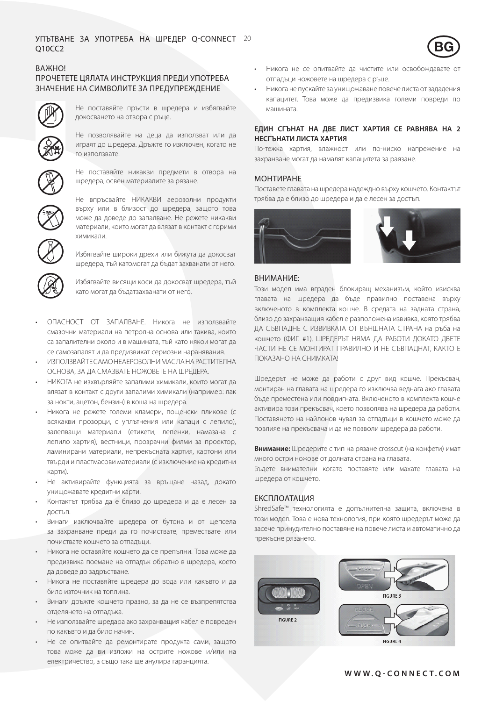# Упътване за Q10CC2 УПОТРЕБА НА ШРЕДЕР Q-CONNECT  $20$



## ВАЖНО!

# ПРОЧЕТЕТЕ ЦЯЛАТА ИНСТРУКЦИЯ ПРЕДИ УПОТРЕБА ЗнаЧенИе на СИмвоЛИте за предУпреЖденИе



Не поставяйте пръсти в шредера и избягвайте докосването на отвора с ръце.

Не позволявайте на деца да използват или да играят до шредера. Дръжте го изключен, когато не го използвате.



Не поставяйте никакви предмети в отвора на шредера, освен материалите за рязане.



Не впръсвайте НИКАКВИ аерозолни продукти върху или в близост до шредера, защото това може да доведе до запалване. Не режете никакви материали, които могат да влязат в контакт с горими химикали.



Избягвайте широки дрехи или бижута да докосват шредера, тъй катомогат да бъдат захванати от него.



Избягвайте висящи коси да докосват шредера, тъй като могат да бъдатзахванати от него.

- ОПАСНОСТ ОТ ЗАПАЛВАНЕ. Никога не използвайте смазочни материали на петролна основа или такива, които са запалителни около и в машината, тъй като някои могат да се самозапалят и да предизвикат сериозни наранявания.
- ИЗПОЛЗВАЙТЕ САМО НЕАЕРОЗОЛНИ МАСЛА НА РАСТИТЕЛНА ОСНОВА, ЗА ДА СМАЗВАТЕ НОЖОВЕТЕ НА ШРЕДЕРА.
- НИКОГА не изхвърляйте запалими химикали, които могат да влязат в контакт с други запалими химикали (например: лак за нокти, ацетон, бензин) в коша на шредера.
- Никога не режете големи кламери, пощенски пликове (с всякакви прозорци, с уплътнения или капаци с лепило), залепващи материали (етикети, лепенки, намазана с лепило хартия), вестници, прозрачни филми за проектор, ламинирани материали, непрекъсната хартия, картони или твърди и пластмасови материали (с изключение на кредитни карти).
- Не активирайте функцията за връщане назад, докато унищожавате кредитни карти.
- Контактът трябва да е близо до шредера и да е лесен за достъп.
- Винаги изключвайте шредера от бутона и от щепсела за захранване преди да го почиствате, премествате или почиствате кошчето за отпадъци.
- Никога не оставяйте кошчето да се препълни. Това може да предизвика поемане на отпадък обратно в шредера, което да доведе до задръстване.
- Никога не поставяйте шредера до вода или какъвто и да било източник на топлина.
- Винаги дръжте кошчето празно, за да не се възпрепятства отделянето на отпадъка.
- Не използвайте шредара ако захранващия кабел е повреден по какъвто и да било начин.
- Не се опитвайте да ремонтирате продукта сами, защото това може да ви изложи на острите ножове и/или на електричество, а също така ще анулира гаранцията.
- Никога не се опитвайте да чистите или освобождавате от отпадъци ножовете на шредера с ръце.
- Никога не пускайте за унишожаване повече листа от зададения капацитет. Това може да предизвика големи повреди по машината.

## **ЕДИН СГЪНАТ НА ДВЕ ЛИСТ ХАРТИЯ СЕ РАВНЯВА НА 2 НЕСГЪНАТИ ЛИСТА ХАРТИЯ**

По-тежка хартия, влажност или по-ниско напрежение на захранване могат да намалят капацитета за раязане.

## МОНТИРАНЕ

Поставете главата на шредера надеждно върху кошчето. Контактът трябва да е близо до шредера и да е лесен за достъп.



## ВНИМАНИЕ:

Този модел има вграден блокиращ механизъм, който изисква главата на шредера да бъде правилно поставена върху включеното в комплекта кошче. В средата на задната страна, близо до захранващия кабел е разположена извивка, която трябва ДА СЪВПАДНЕ С ИЗВИВКАТА ОТ ВЪНШНАТА СТРАНА на ръба на кошчето (ФИГ. #1). ШРЕДЕРЪТ НЯМА ДА РАБОТИ ДОКАТО ДВЕТЕ ЧАСТИ НЕ СЕ МОНТИРАТ ПРАВИЛНО И НЕ СЪВПАДНАТ, КАКТО Е ПОКАЗАНО НА СНИМКАТА!

Шредерът не може да работи с друг вид кошче. Прекъсвач, монтиран на главата на шредера го изключва веднага ако главата бъде преместена или повдигната. Включеното в комплекта кошче активира този прекъсвач, което позволява на шредера да работи. Поставянето на найлонов чувал за отпадъци в кошчето може да повлияе на прекъсвача и да не позволи шредера да работи.

**Внимание:** Шредерите с тип на рязане crosscut (на конфети) имат много остри ножове от долната страна на главата.

Бъдете внимателни когато поставяте или махате главата на шредера от кошчето.

## ЕКСПЛОАТАЦИЯ

ShredSafe™ технологията е допълнителна защита, включена в този модел. Това е нова технология, при която шредерът може да засече принудително поставяне на повече листа и автоматично да прекъсне рязането.

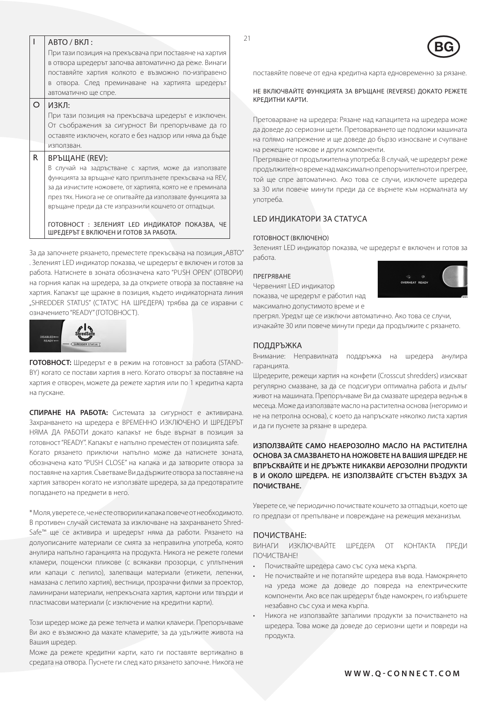|    | ABTO / ВКЛ:<br>При тази позиция на прекъсвача при поставяне на хартия<br>в отвора шредерът започва автоматично да реже. Винаги                                                                                                                                                                                           | 21                                                                                                                                                                                                                                                                      |
|----|--------------------------------------------------------------------------------------------------------------------------------------------------------------------------------------------------------------------------------------------------------------------------------------------------------------------------|-------------------------------------------------------------------------------------------------------------------------------------------------------------------------------------------------------------------------------------------------------------------------|
|    | поставяйте хартия колкото е възможно по-изправено<br>в отвора. След преминаване на хартията шредерът                                                                                                                                                                                                                     | поставяйте повече от една кредитна карта едновременно за рязан<br>НЕ ВКЛЮЧВАЙТЕ ФУНКЦИЯТА ЗА ВРЪЩАНЕ (REVERSE) ДОКАТО РЕЖЕ                                                                                                                                              |
| O  | автоматично ще спре.<br>ИЗКЛ:                                                                                                                                                                                                                                                                                            | КРЕДИТНИ КАРТИ.                                                                                                                                                                                                                                                         |
|    | При тази позиция на прекъсвача шредерът е изключен.<br>От съображения за сигурност Ви препоръчваме да го<br>оставяте изключен, когато е без надзор или няма да бъде<br>използван.                                                                                                                                        | Претоварване на шредера: Рязане над капацитета на шредера мо<br>да доведе до сериозни щети. Претоварването ще подложи машина<br>на голямо напрежение и ще доведе до бързо износване и счупва<br>на режещите ножове и други компоненти.                                  |
| R. | ВРЪЩАНЕ (REV):<br>В случай на задръстване с хартия, може да използвате<br>функцията за връщане като приплъзнете прекъсвача на REV,<br>за да изчистите ножовете, от хартията, която не е преминала<br>през тях. Никога не се опитвайте да използвате функцията за<br>връщане преди да сте изпразнили кошчето от отпадъци. | Прегряване от продължителна употреба: В случай, че шредерът ре<br>продължително време над максимално препоръчителното и прегр<br>той ще спре автоматично. Ако това се случи, изключете шреде<br>за 30 или повече минути преди да се върнете към нормалната<br>употреба. |
|    | ГОТОВНОСТ: ЗЕЛЕНИЯТ LED ИНДИКАТОР ПОКАЗВА, ЧЕ<br>ШРЕДЕРЪТ Е ВКЛЮЧЕН И ГОТОВ ЗА РАБОТА.                                                                                                                                                                                                                                   | <b>LED ИНДИКАТОРИ ЗА СТАТУСА</b><br><b>FOTOPUOCT (DV HIQUEUQ)</b>                                                                                                                                                                                                       |

За да започнете рязането, преместете прекъсвача на позиция "АВТО" . Зеленият LED индикатор показва, че шредерът е включен и готов за работа. Натиснете в зоната обозначена като "PUSH OPEN" (ОТВОРИ) на горния капак на шредера, за да откриете отвора за поставяне на хартия. Капакът ще щракне в позиция, където индикаторната линия "SHREDDER STATUS" (СТАТУС НА ШРЕДЕРА) трябва да се изравни с означението "READY" (ГОТОВНОСТ).



**ГОТОВНОСТ:** Шредерът е в режим на готовност за работа (STAND-BY) когато се постави хартия в него. Когато отворът за поставяне на хартия е отворен, можете да режете хартия или по 1 кредитна карта на пускане.

**СПИРАНЕ НА РАБОТА:** Системата за сигурност е активирана. Захранването на шредера е ВРЕМЕННО ИЗКЛЮЧЕНО И ШРЕДЕРЪТ НЯМА ДА РАБОТИ докато капакът не бъде върнат в позиция за готовност "READY". Капакът е напълно преместен от позицията safe. Когато рязането приключи напълно може да натиснете зоната, обозначена като "PUSH CLOSE" на капака и да затворите отвора за поставяне на хартия. Съветваме Ви да държите отвора за поставяне на хартия затворен когато не използвате шредера, за да предотвратите попадането на предмети в него.

\* Моля, уверете се, че не сте отворили капака повече от необходимото. В противен случай системата за изключване на захранването Shred-Safe™ ще се активира и шредерът няма да работи. Рязането на долуописаните материали се смята за неправилна употреба, която анулира напълно гаранцията на продукта. Никога не режете големи кламери, пощенски пликове (с всякакви прозорци, с уплътнения или капаци с лепило), залепващи материали (етикети, лепенки, намазана с лепило хартия), вестници, прозрачни филми за проектор, ламинирани материали, непрекъсната хартия, картони или твърди и пластмасови материали (с изключение на кредитни карти).

Този шредер може да реже телчета и малки кламери. Препоръчваме Ви ако е възможно да махате кламерите, за да удължите живота на Вашия шредер.

Може да режете кредитни карти, като ги поставяте вертикално в средата на отвора. Пуснете ги след като рязането започне. Никога не

#### НЕ ВКЛЮЧВАЙТЕ ФУНКЦИЯТА ЗА ВРЪЩАНЕ (REVERSE) ДОКАТО РЕЖЕТЕ КРЕДИТНИ КАРТИ.

## LED ИндИКаторИ за СтатУСа

#### ГотовноСт (ВклюЧено)

Зеленият LED индикатор показва, че шредерът е включен и готов за работа.

#### ПреГрЯване

Червеният LED индикатор показва, че шредерът е работил над максимално допустимото време и е



прегрял. Уредът ще се изключи автоматично. Ако това се случи, изчакайте 30 или повече минути преди да продължите с рязането.

## ПОДДРЪЖКА

Внимание: Неправилната поддръжка на шредера анулира гаранцията.

Шредерите, режещи хартия на конфети (Crosscut shredders) изискват регулярно смазване, за да се подсигури оптимална работа и дълъг живот на машината. Препоръчваме Ви да смазвате шредера веднъж в месеца. Може да използвате масло на растителна основа (негоримо и не на петролна основа), с което да напръскате няколко листа хартия и да ги пуснете за рязане в шредера.

## **ИЗПОЛЗВАЙТЕ САМО НЕАЕРОЗОЛНО МАСЛО НА РАСТИТЕЛНА ОСНОВА ЗА СМАЗВАНЕТО НА НОЖОВЕТЕ НА ВАШИЯ ШРЕДЕР. НЕ ВПРЪСКВАЙТЕ И НЕ ДРЪЖТЕ НИКАКВИ АЕРОЗОЛНИ ПРОДУКТИ В И ОКОЛО ШРЕДЕРА. НЕ ИЗПОЛЗВАЙТЕ СГЪСТЕН ВЪЗДУХ ЗА ПОЧИСТВАНЕ.**

Уверете се, че периодично почиствате кошчето за отпадъци, което ще го предпази от препълване и повреждане на режещия механизъм.

#### ПОЧИСТВАНЕ:

ВИНАГИ ИЗКЛЮЧВАЙТЕ ШРЕДЕРА ОТ КОНТАКТА ПРЕДИ ПОЧИСТВАНЕ!

- Почиствайте шредера само със суха мека кърпа.
- Не почиствайте и не потапяйте шредера във вода. Намокрянето на уреда може да доведе до повреда на електрическите компоненти. Ако все пак шредерът бъде намокрен, го избършете незабавно със суха и мека кърпа.
- Никога не използвайте запалими продукти за почистването на шредера. Това може да доведе до сериозни щети и повреди на продукта.

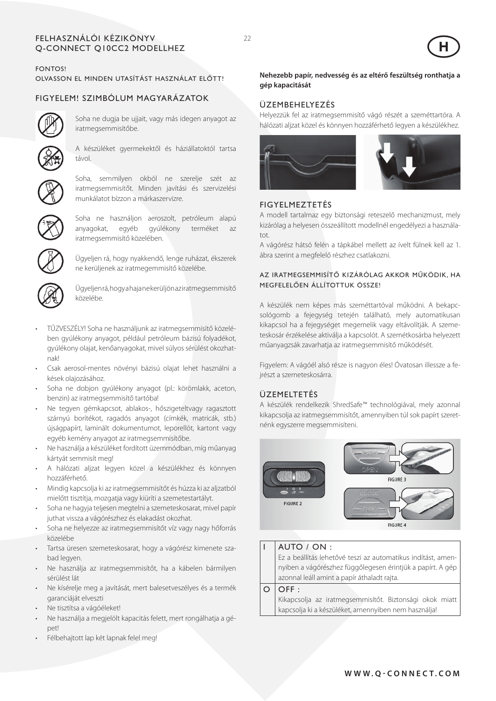#### Fe lhas znál kézikön Q-C ONN ECT Q10CC2 mo dellhez ói yv



# FONTOS!

Olvasson el minden utasítást használat előtt!

# FIGYELEM! Szimbólum magyarázatok



Soha ne dugja be ujjait, vagy más idegen anyagot az iratmegsemmisítőbe.



A készüléket gyermekektől és háziállatoktól tartsa távol.



Soha, semmilyen okból ne szerelje szét az iratmegsemmisítőt. Minden javítási és szervizelési munkálatot bízzon a márkaszervizre.



Soha ne használjon aeroszolt, petróleum alapú anyagokat, egyéb gyúlékony terméket az iratmegsemmisítő közelében.



Ügyeljen rá, hogy nyakkendő, lenge ruházat, ékszerek ne kerüljenek az iratmegemmisítő közelébe.



Ügyeljen rá, hogy a haja ne kerüljön az iratmegsemmisítő közelébe.

- TŰZVESZÉLY! Soha ne használjunk az iratmegsemmisítő közelében gyúlékony anyagot, például petróleum bázisú folyadékot, gyúlékony olajat, kenőanyagokat, mivel súlyos sérülést okozhatnak!
- Csak aerosol-mentes növényi bázisú olajat lehet használni a kések olajozásához.
- Soha ne dobjon gyúlékony anyagot (pl.: körömlakk, aceton, benzin) az iratmegsemmisítő tartóba!
- Ne tegyen gémkapcsot, ablakos-, hőszigeteltvagy ragasztott szárnyú borítékot, ragadós anyagot (címkék, matricák, stb.) újságpapírt, laminált dokumentumot, leporellót, kartont vagy egyéb kemény anyagot az iratmegsemmisítőbe.
- Ne használja a készüléket fordított üzemmódban, míg műanyag kártyát semmisít meg!
- A hálózati aljzat legyen közel a készülékhez és könnyen hozzáférhető.
- Mindig kapcsolja ki az iratmegsemmisítőt és húzza ki az aljzatból mielőtt tisztítja, mozgatja vagy kiüríti a szemetestartályt.
- Soha ne hagyja teljesen megtelni a szemeteskosarat, mivel papír juthat vissza a vágórészhez és elakadást okozhat.
- Soha ne helyezze az iratmegsemmisítőt víz vagy nagy hőforrás közelébe
- Tartsa üresen szemeteskosarat, hogy a vágórész kimenete szabad legyen.
- Ne használja az iratmegsemmisítőt, ha a kábelen bármilyen sérülést lát
- Ne kísérelje meg a javítását, mert balesetveszélyes és a termék garanciáját elveszti
- Ne tisztítsa a vágóéleket!
- Ne használja a megjelölt kapacitás felett, mert rongálhatja a gépet!
- Félbehajtott lap két lapnak felel meg!

## **Nehezebb papír, nedvesség és az eltérő feszültség ronthatja a gép kapacitását**

## Üzembehelyezés

Helyezzük fel az iratmegsemmisítő vágó részét a szeméttartóra. A hálózati aljzat közel és könnyen hozzáférhető legyen a készülékhez.



# **FIGYELMEZTETÉS**

A modell tartalmaz egy biztonsági reteszelő mechanizmust, mely kizárólag a helyesen összeállított modellnél engedélyezi a használatot.

A vágórész hátsó felén a tápkábel mellett az ívelt fülnek kell az 1. ábra szerint a megfelelő részhez csatlakozni.

## Az iratmegsemmisítő kizárólag akkor működik, ha megfelelően állítottuk össze!

A készülék nem képes más szeméttartóval működni. A bekapcsológomb a fejegység tetején található, mely automatikusan kikapcsol ha a fejegységet megemelik vagy eltávolítják. A szemeteskosár érzékelése aktiválja a kapcsolót. A szemétkosárba helyezett műanyagzsák zavarhatja az iratmegsemmisítő működését.

Figyelem: A vágóél alsó része is nagyon éles! Óvatosan illessze a fejrészt a szemeteskosárra.

# ÜZEMELTETÉS

A készülék rendelkezik ShredSafe™ technológiával, mely azonnal kikapcsolja az iratmegsemmisítőt, amennyiben túl sok papírt szeretnénk egyszerre megsemmisíteni.



## AUTO / ON : Ez a beállítás lehetővé teszi az automatikus indítást, amennyiben a vágórészhez függőlegesen érintjük a papírt. A gép azonnal leáll amint a papír áthaladt rajta.

 $O$  OFF :

Kikapcsolja az iratmegsemmisítőt. Biztonsági okok miatt kapcsolja ki a készüléket, amennyiben nem használja!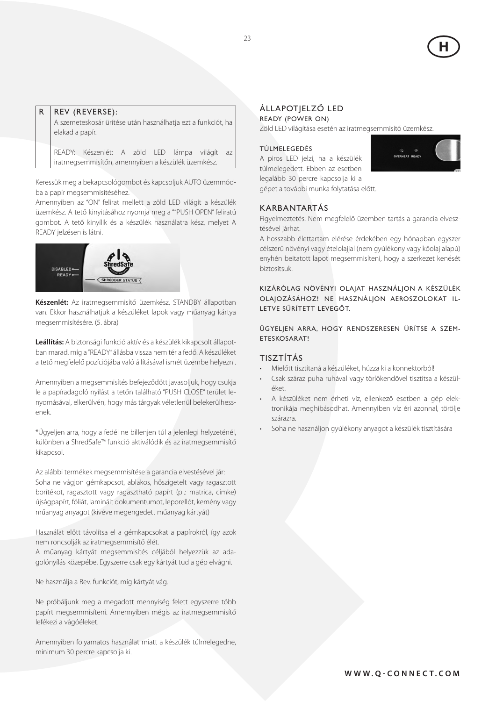

## $R$  | REV (REVERSE):

A szemeteskosár ürítése után használhatja ezt a funkciót, ha elakad a papír.

READY: Készenlét: A zöld LED lámpa világít az iratmegsemmisítőn, amennyiben a készülék üzemkész.

Keressük meg a bekapcsológombot és kapcsoljuk AUTO üzemmódba a papír megsemmisítéséhez.

Amennyiben az "ON" felírat mellett a zöld LED világít a készülék üzemkész. A tető kinyitásához nyomja meg a ""PUSH OPEN" feliratú gombot. A tető kinyílik és a készülék használatra kész, melyet A READY jelzésen is látni.



**Készenlét:** Az iratmegsemmisítő üzemkész, STANDBY állapotban van. Ekkor használhatjuk a készüléket lapok vagy műanyag kártya megsemmisítésére. (5. ábra)

**Leállítás:** A biztonsági funkció aktív és a készülék kikapcsolt állapotban marad, míg a "READY" állásba vissza nem tér a fedő. A készüléket a tető megfelelő pozíciójába való állításával ismét üzembe helyezni.

Amennyiben a megsemmisítés befejeződött javasoljuk, hogy csukja le a papíradagoló nyílást a tetőn található "PUSH CLOSE" terület lenyomásával, elkerülvén, hogy más tárgyak véletlenül belekerülhessenek.

\*Ügyeljen arra, hogy a fedél ne billenjen túl a jelenlegi helyzeténél, különben a ShredSafe™ funkció aktiválódik és az iratmegsemmisítő kikapcsol.

Az alábbi termékek megsemmisítése a garancia elvestésével jár: Soha ne vágjon gémkapcsot, ablakos, hőszigetelt vagy ragasztott borítékot, ragasztott vagy ragasztható papírt (pl.: matrica, címke) újságpapírt, fóliát, laminált dokumentumot, leporellót, kemény vagy műanyag anyagot (kivéve megengedett műanyag kártyát)

Használat előtt távolítsa el a gémkapcsokat a papírokról, így azok nem roncsolják az iratmegsemmisítő élét.

A műanyag kártyát megsemmisítés céljából helyezzük az adagolónyílás közepébe. Egyszerre csak egy kártyát tud a gép elvágni.

Ne használja a Rev. funkciót, míg kártyát vág.

Ne próbáljunk meg a megadott mennyiség felett egyszerre több papírt megsemmisíteni. Amennyiben mégis az iratmegsemmisítő lefékezi a vágóéleket.

Amennyiben folyamatos használat miatt a készülék túlmelegedne, minimum 30 percre kapcsolja ki.

## Állapotjelző LED

#### Ready (power on)

Zöld LED világítása esetén az iratmegsemmisítő üzemkész.

#### Túlmelegedés

A piros LED jelzi, ha a készülék túlmelegedett. Ebben az esetben legalább 30 percre kapcsolja ki a gépet a további munka folytatása előtt.



#### Karbantartás

Figyelmeztetés: Nem megfelelő üzemben tartás a garancia elvesztésével járhat.

A hosszabb élettartam elérése érdekében egy hónapban egyszer célszerű növényi vagy ételolajjal (nem gyúlékony vagy kőolaj alapú) enyhén beitatott lapot megsemmisíteni, hogy a szerkezet kenését biztosítsuk.

Kizárólag növényi olajat használjon a készülék olajozásához! Ne használjon aeroszolokat illetve sűrített levegőt.

Ügyeljen arra, hogy rendszeresen ürítse a szemeteskosarat!

## Tisztítás

- • Mielőtt tisztítaná a készüléket, húzza ki a konnektorból!
- Csak száraz puha ruhával vagy törlőkendővel tisztítsa a készüléket.
- A készüléket nem érheti víz, ellenkező esetben a gép elektronikája meghibásodhat. Amennyiben víz éri azonnal, törölje szárazra.
- Soha ne használjon gyúlékony anyagot a készülék tisztítására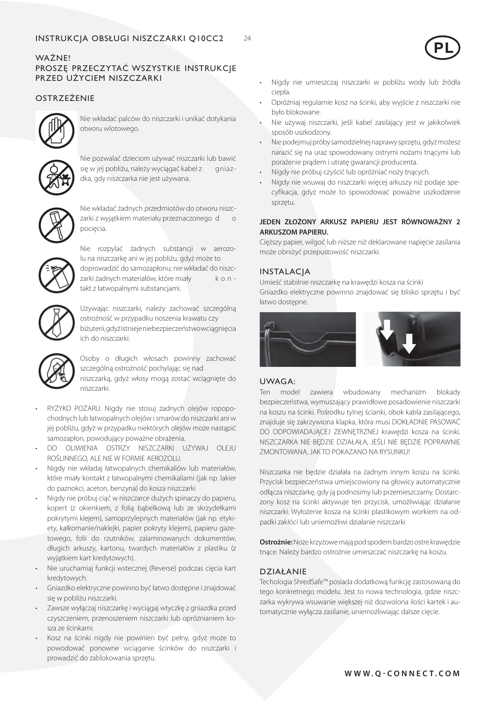## WAŻNE! PROSZĘ PRZECZYTAĆ WSZYSTKIE INSTRUKCJE PRZED UŻYCIEM NISZCZARKI

# **OSTRZEŻENIE**



Nie wkładać palców do niszczarki i unikać dotykania otworu wlotowego.



Nie pozwalać dzieciom używać niszczarki lub bawić się w jej pobliżu, należy wyciągać kabel z gniazdka, gdy niszczarka nie jest używana.



Nie wkładać żadnych przedmiotów do otworu niszczarki z wyjątkiem materiału przeznaczonego d o pocięcia.



Nie rozpylać żadnych substancji w aerozolu na niszczarkę ani w jej pobliżu, gdyż może to doprowadzić do samozapłonu; nie wkładać do niszczarki żadnych materiałów, które miały k o n takt z łatwopalnymi substancjami.



Używając niszczarki, należy zachować szczególną ostrożność w przypadku noszenia krawatu czy biżuterii, gdyż istnieje niebezpieczeństwo wciągnięcia ich do niszczarki.



Osoby o długich włosach powinny zachować szczególną ostrożność pochylając się nad niszczarką, gdyż włosy mogą zostać wciągnięte do niszczarki.

- RYZYKO POŻARU. Nigdy nie stosuj żadnych olejów ropopochodnych lub łatwopalnych olejów i smarów do niszczarki ani w jej pobliżu, gdyż w przypadku niektórych olejów może nastąpić samozapłon, powodujący poważne obrażenia.
- DO OLIWIENIA OSTRZY NISZCZARKI UŻYWAJ OLEJU ROŚLINNEGO, ALE NIE W FORMIE AEROZOLU.
- Nigdy nie wkładaj łatwopalnych chemikaliów lub materiałów, które miały kontakt z łatwopalnymi chemikaliami (jak np. lakier do paznokci, aceton, benzyna) do kosza niszczarki
- Nigdy nie próbuj ciąć w niszczarce dużych spinaczy do papieru, kopert (z okienkiem, z folią bąbelkową lub ze skrzydełkami pokrytymi klejem), samoprzylepnych materiałów (jak np. etykiety, kalkomanie/naklejki, papier pokryty klejem), papieru gazetowego, folii do rzutników, zalaminowanych dokumentów, długich arkuszy, kartonu, twardych materiałów z plastiku (z wyjątkiem kart kredytowych).
- Nie uruchamiaj funkcji wstecznej (Reverse) podczas cięcia kart kredytowych.
- Gniazdko elektryczne powinno być łatwo dostępne i znajdować się w pobliżu niszczarki.
- Zawsze wyłączaj niszczarkę i wyciągaj wtyczkę z gniazdka przed czyszczeniem, przenoszeniem niszczarki lub opróżnianiem kosza ze ścinkami.
- Kosz na ścinki nigdy nie powinien być pełny, gdyż może to powodować ponowne wciąganie ścinków do niszczarki i prowadzić do zablokowania sprzętu.
- Nigdy nie umieszczaj niszczarki w pobliżu wody lub źródła ciepła.
- Opróżniaj regularnie kosz na ścinki, aby wyjście z niszczarki nie było blokowane.
- Nie używaj niszczarki, jeśli kabel zasilający jest w jakikolwiek sposób uszkodzony.
- Nie podejmuj próby samodzielnej naprawy sprzętu, gdyż możesz narazić się na uraz spowodowany ostrymi nożami tnącymi lub porażenie prądem i utratę gwarancji producenta.
- Nigdy nie próbuj czyścić lub opróżniać noży tnących.
- Nigdy nie wsuwaj do niszczarki więcej arkuszy niż podaje specyfikacja, gdyż może to spowodować poważne uszkodzenie sprzętu.

## **JEDEN ZŁOŻONY ARKUSZ PAPIERU JEST RÓWNOWAŻNY 2 ARKUSZOM PAPIERU.**

Cięższy papier, wilgoć lub niższe niż deklarowane napięcie zasilania może obniżyć przepustowość niszczarki.

## **INSTALACIA**

Umieść stabilnie niszczarkę na krawędzi kosza na ścinki Gniazdko elektryczne powinno znajdować się blisko sprzętu i być łatwo dostępne.



## UWAGA:

Ten model zawiera wbudowany mechanizm blokady bezpieczeństwa, wymuszający prawidłowe posadowienie niszczarki na koszu na ścinki. Pośrodku tylnej ścianki, obok kabla zasilającego, znajduje się zakrzywiona klapka, która musi DOKŁADNIE PASOWAĆ DO ODPOWIADAJĄCEJ ZEWNĘTRZNEJ krawędzi kosza na ścinki. NISZCZARKA NIE BĘDZIE DZIAŁAŁA, JEŚLI NIE BĘDZIE POPRAWNIE ZMONTOWANA, JAK TO POKAZANO NA RYSUNKU!

Niszczarka nie będzie działała na żadnym innym koszu na ścinki. Przycisk bezpieczeństwa umiejscowiony na głowicy automatycznie odłącza niszczarkę, gdy ją podnosimy lub przemieszczamy. Dostarczony kosz na ścinki aktywuje ten przycisk, umożliwiając działanie niszczarki. Wyłożenie kosza na ścinki plastikowym workiem na odpadki zakłóci lub uniemożliwi działanie niszczarki

**Ostrożnie:** Noże krzyżowe mają pod spodem bardzo ostre krawędzie tnące. Należy bardzo ostrożnie umieszczać niszczarkę na koszu.

## DZIAŁANIE

Techologia ShredSafe™ posiada dodatkową funkcję zastosowaną do tego konkretnego modelu. Jest to nowa technologia, gdzie niszczarka wykrywa wsuwanie większej niż dozwolona ilości kartek i automatycznie wyłącza zasilanie, uniemożliwiając dalsze cięcie.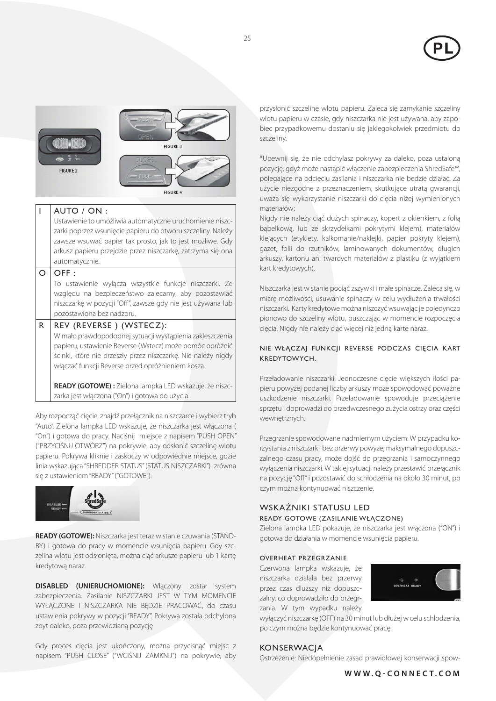



## I AUTO / ON :

Ustawienie to umożliwia automatyczne uruchomienie niszczarki poprzez wsunięcie papieru do otworu szczeliny. Należy zawsze wsuwać papier tak prosto, jak to jest możliwe. Gdy arkusz papieru przejdzie przez niszczarkę, zatrzyma się ona automatycznie.

#### $O$  OFF :

To ustawienie wyłącza wszystkie funkcje niszczarki. Ze względu na bezpieczeństwo zalecamy, aby pozostawiać niszczarkę w pozycji "Off", zawsze gdy nie jest używana lub pozostawiona bez nadzoru.

## $R$  REV (REVERSE) (WSTECZ):

W mało prawdopodobnej sytuacji wystąpienia zakleszczenia papieru, ustawienie Reverse (Wstecz) może pomóc opróżnić ścinki, które nie przeszły przez niszczarkę. Nie należy nigdy włączać funkcji Reverse przed opróżnieniem kosza.

**READY (GOTOWE) :** Zielona lampka LED wskazuje, że niszczarka jest włączona ("On") i gotowa do użycia.

Aby rozpocząć cięcie, znajdź przełącznik na niszczarce i wybierz tryb "Auto". Zielona lampka LED wskazuje, że niszczarka jest włączona ( "On") i gotowa do pracy. Naciśnij miejsce z napisem "PUSH OPEN" ("PRZYCIŚNIJ OTWÓRZ") na pokrywie, aby odsłonić szczelinę wlotu papieru. Pokrywa kliknie i zaskoczy w odpowiednie miejsce, gdzie linia wskazująca "SHREDDER STATUS" (STATUS NISZCZARKI") zrówna się z ustawieniem "READY" ("GOTOWE").



**READY (GOTOWE):** Niszczarka jest teraz w stanie czuwania (STAND-BY) i gotowa do pracy w momencie wsunięcia papieru. Gdy szczelina wlotu jest odsłonięta, można ciąć arkusze papieru lub 1 kartę kredytową naraz.

**DISABLED (UNIERUCHOMIONE):** Włączony został system zabezpieczenia. Zasilanie NISZCZARKI JEST W TYM MOMENCIE WYŁĄCZONE I NISZCZARKA NIE BĘDZIE PRACOWAĆ, do czasu ustawienia pokrywy w pozycji "READY". Pokrywa została odchylona zbyt daleko, poza przewidzianą pozycję

Gdy proces cięcia jest ukończony, można przycisnąć miejsc z napisem "PUSH CLOSE" ("WCIŚNIJ ZAMKNIJ") na pokrywie, aby przysłonić szczelinę wlotu papieru. Zaleca się zamykanie szczeliny wlotu papieru w czasie, gdy niszczarka nie jest używana, aby zapobiec przypadkowemu dostaniu się jakiegokolwiek przedmiotu do szczeliny.

\*Upewnij się, że nie odchylasz pokrywy za daleko, poza ustaloną pozycję, gdyż może nastąpić włączenie zabezpieczenia ShredSafe™, polegające na odcięciu zasilania i niszczarka nie będzie działać. Za użycie niezgodne z przeznaczeniem, skutkujące utratą gwarancji, uważa się wykorzystanie niszczarki do cięcia niżej wymienionych materiałów:

Nigdy nie należy ciąć dużych spinaczy, kopert z okienkiem, z folią bąbelkową, lub ze skrzydełkami pokrytymi klejem), materiałów klejących (etykiety. kalkomanie/naklejki, papier pokryty klejem), gazet, folii do rzutników, laminowanych dokumentów, długich arkuszy, kartonu ani twardych materiałów z plastiku (z wyjątkiem kart kredytowych).

Niszczarka jest w stanie pociąć zszywki i małe spinacze. Zaleca się, w miarę możliwości, usuwanie spinaczy w celu wydłużenia trwałości niszczarki. Karty kredytowe można niszczyć wsuwając je pojedynczo pionowo do szczeliny wlotu, puszczając w momencie rozpoczęcia cięcia. Nigdy nie należy ciąć więcej niż jedną kartę naraz.

## NIE WŁĄCZAJ FUNKCJI REVERSE PODCZAS CIĘCIA KART KREDYTOWYCH.

Przeładowanie niszczarki: Jednoczesne cięcie większych ilości papieru powyżej podanej liczby arkuszy może spowodować poważne uszkodzenie niszczarki. Przeładowanie spowoduje przeciążenie sprzętu i doprowadzi do przedwczesnego zużycia ostrzy oraz części wewnętrznych.

Przegrzanie spowodowane nadmiernym użyciem: W przypadku korzystania z niszczarki bez przerwy powyżej maksymalnego dopuszczalnego czasu pracy, może dojść do przegrzania i samoczynnego wyłączenia niszczarki. W takiej sytuacji należy przestawić przełącznik na pozycję "Off" i pozostawić do schłodzenia na około 30 minut, po czym można kontynuować niszczenie.

# WSKAŹNIKI STATUSU LED

## Ready Gotowe (zasilanie włączone)

Zielona lampka LED pokazuje, że niszczarka jest włączona ("ON") i gotowa do działania w momencie wsunięcia papieru.

#### Overheat Przegrzanie

Czerwona lampka wskazuje, że niszczarka działała bez przerwy przez czas dluższy niż dopuszczalny, co doprowadziło do przegrzania. W tym wypadku należy



wyłączyć niszczarkę (OFF) na 30 minut lub dłużej w celu schłodzenia, po czym można będzie kontynuować pracę.

#### **KONSERWACIA**

Ostrzeżenie: Niedopełnienie zasad prawidłowej konserwacji spow-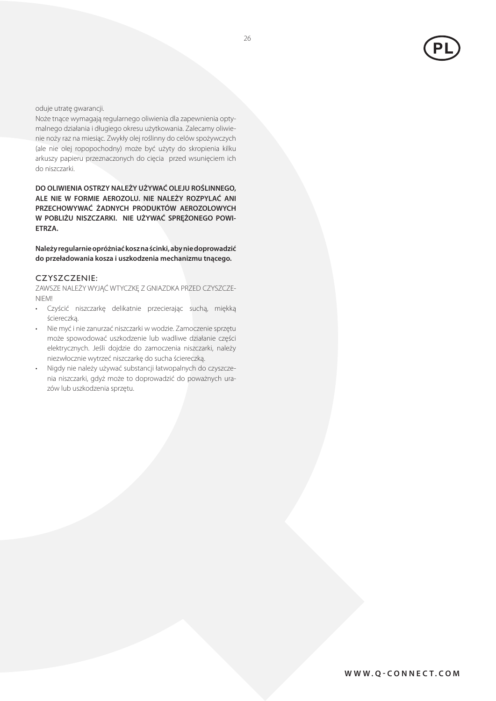

oduje utratę gwarancji.

Noże tnące wymagają regularnego oliwienia dla zapewnienia optymalnego działania i długiego okresu użytkowania. Zalecamy oliwienie noży raz na miesiąc. Zwykły olej roślinny do celów spożywczych (ale nie olej ropopochodny) może być użyty do skropienia kilku arkuszy papieru przeznaczonych do cięcia przed wsunięciem ich do niszczarki.

**DO OLIWIENIA OSTRZY NALEŻY UŻYWAĆ OLEJU ROŚLINNEGO, ALE NIE W FORMIE AEROZOLU. NIE NALEŻY ROZPYLAĆ ANI PRZECHOWYWAĆ ŻADNYCH PRODUKTÓW AEROZOLOWYCH W POBLIŻU NISZCZARKI. NIE UŻYWAĆ SPRĘŻONEGO POWI-ETRZA.** 

**Należy regularnie opróżniać kosz na ścinki, aby nie doprowadzić do przeładowania kosza i uszkodzenia mechanizmu tnącego.** 

#### CZYSZCZENIE:

ZAWSZE NALEŻY WYJĄĆ WTYCZKĘ Z GNIAZDKA PRZED CZYSZCZE-NIEM!

- Czyścić niszczarkę delikatnie przecierając suchą, miękką ściereczką.
- Nie myć i nie zanurzać niszczarki w wodzie. Zamoczenie sprzętu może spowodować uszkodzenie lub wadliwe działanie części elektrycznych. Jeśli dojdzie do zamoczenia niszczarki, należy niezwłocznie wytrzeć niszczarkę do sucha ściereczką.
- Nigdy nie należy używać substancji łatwopalnych do czyszczenia niszczarki, gdyż może to doprowadzić do poważnych urazów lub uszkodzenia sprzętu.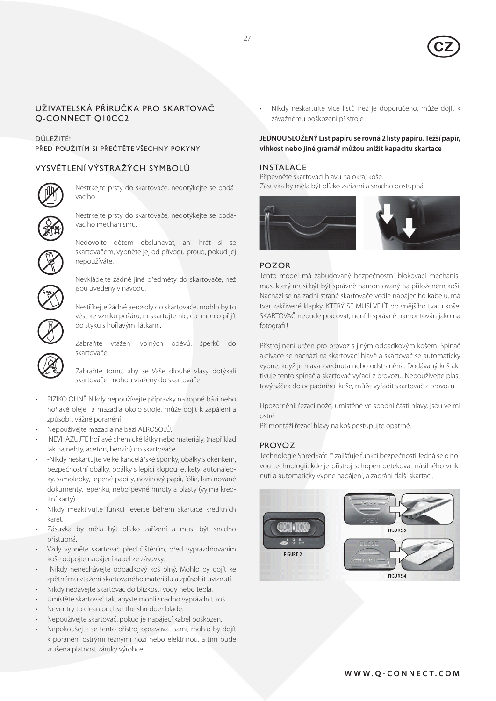

## Uživatelská příručka pro skartovač Q-CONNECT Q10CC2

## DŮLEŽITÉ! PŘED POUŽITÍM SI PŘEČTĚTE VŠECHNY POKYNY

## VYSVĚTLENÍ VÝSTRAŽÝCH SYMBOLŮ



Nestrkejte prsty do skartovače, nedotýkejte se podávacího

Nestrkejte prsty do skartovače, nedotýkejte se podávacího mechanismu.



Nedovolte dětem obsluhovat, ani hrát si se skartovačem, vypněte jej od přívodu proud, pokud jej nepoužíváte.



Nevkládejte žádné jiné předměty do skartovače, než jsou uvedeny v návodu.

Nestříkejte žádné aerosoly do skartovače, mohlo by to vést ke vzniku požáru, neskartujte nic, co mohlo přijít do styku s hořlavými látkami.

Zabraňte vtažení volných oděvů, šperků do skartovače.

Zabraňte tomu, aby se Vaše dlouhé vlasy dotýkali skartovače, mohou vtaženy do skartovače..

- RIZIKO OHNĚ Nikdy nepoužívejte přípravky na ropné bázi nebo hořlavé oleje a mazadla okolo stroje, může dojít k zapálení a způsobit vážné poranění
- • Nepoužívejte mazadla na bázi AEROSOLŮ.
- NEVHAZUJTE hořlavé chemické látky nebo materiály, (například lak na nehty, aceton, benzín) do skartovače
- -Nikdy neskartujte velké kancelářské sponky, obálky s okénkem, bezpečnostní obálky, obálky s lepicí klopou, etikety, autonálepky, samolepky, lepené papíry, novinový papír, fólie, laminované dokumenty, lepenku, nebo pevné hmoty a plasty (vyjma kreditní karty).
- Nikdy meaktivujte funkci reverse během skartace kreditních karet.
- Zásuvka by měla být blízko zařízení a musí být snadno přístupná.
- Vždy vypněte skartovač před čištěním, před vyprazdňováním koše odpojte napájecí kabel ze zásuvky.
- Nikdy nenechávejte odpadkový koš plný. Mohlo by dojít ke zpětnému vtažení skartovaného materiálu a způsobit uvíznutí.
- Nikdy nedávejte skartovač do blízkosti vody nebo tepla.
- Umístěte skartovač tak, abyste mohli snadno vyprázdnit koš
- Never try to clean or clear the shredder blade.
- Nepoužívejte skartovač, pokud je napájecí kabel poškozen.
- Nepokoušejte se tento přístroj opravovat sami, mohlo by dojít k poranění ostrými řeznými noži nebo elektřinou, a tím bude zrušena platnost záruky výrobce.

Nikdy neskartujte vice listů než je doporučeno, může dojít k závažnému poškození přístroje

## **JEDNOU SLOŽENÝ List papíru se rovná 2 listy papíru. Těžší papír, vlhkost nebo jiné gramář můžou snížit kapacitu skartace**

## INSTALACE

Připevněte skartovací hlavu na okraj koše. Zásuvka by měla být blízko zařízení a snadno dostupná.



## POZOR

Tento model má zabudovaný bezpečnostní blokovací mechanismus, který musí být být správně namontovaný na přiloženém koši. Nachází se na zadní straně skartovače vedle napájecího kabelu, má tvar zakřivené klapky, KTERÝ SE MUSÍ VEJÍT do vnějšího tvaru koše. SKARTOVAČ nebude pracovat, není-li správně namontován jako na fotografii!

Přístroj není určen pro provoz s jiným odpadkovým košem. Spínač aktivace se nachází na skartovací hlavě a skartovač se automaticky vypne, když je hlava zvednuta nebo odstraněna. Dodávaný koš aktivuje tento spínač a skartovač vyřadí z provozu. Nepoužívejte plastový sáček do odpadního koše, může vyřadit skartovač z provozu.

Upozornění: řezací nože, umístěné ve spodní části hlavy, jsou velmi ostré.

Při montáži řezací hlavy na koš postupujte opatrně.

## PROVOZ

Technologie ShredSafe ™ zajišťuje funkci bezpečnosti.Jedná se o novou technologii, kde je přístroj schopen detekovat násilného vniknutí a automaticky vypne napájení, a zabrání další skartaci.